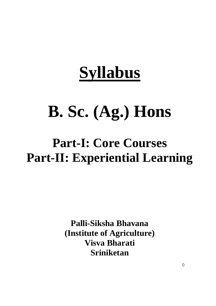# **Syllabus**

# **B. Sc. (Ag.) Hons**

## **Part-I: Core Courses Part-II: Experiential Learning**

**Palli-Siksha Bhavana (Institute of Agriculture) Visva Bharati Sriniketan**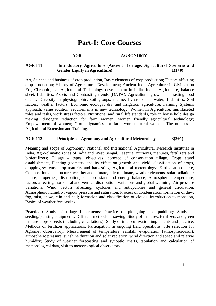## **Part-I: Core Courses**

#### AGR **AGRONOMY**

#### **AGR 111 Introductory Agriculture (Ancient Heritage, Agricultural Scenario and**  Gender Equity in Agriculture)  $1(1+0)$

Art, Science and business of crop production, Basic elements of crop production; Factors affecting crop production; History of Agricultural Development; Ancient India Agriculture in Civilization Era, Chronological Agricultural Technology development in India. Indian Agriculture, balance sheet, liabilities; Assets and Contrasting trends (DATA), Agricultural growth, contrasting food chains, Diversity in physiographic, soil groups, marine, livestock and water; Liabilities: Soil factors, weather factors, Economic ecology, dry and irrigation agriculture, Farming Systems approach, value addition, requirements in new technology; Women in Agriculture: multifaceted roles and tasks, work stress factors, Nutritional and rural life standards, role in house hold design making, drudgery reduction for farm women, women friendly agricultural technology; Empowerment of women; Group dynamics for farm women, rural women; The nucleus of Agricultural Extension and Training.

#### **AGR 112 Principles of Agronomy and Agricultural Meteorology 3(2+1)**

Meaning and scope of Agronomy: National and International Agricultural Research Institutes in India, Agro-climatic zones of India and West Bengal. Essential nutrients, manures, fertilizers and biofertilizers; Tillage – types, objectives, concept of conservation tillage, Crops stand establishment, Planting geometry and its effect on growth and yield, classification of crops, cropping systems, crop maturity and harvesting. Agricultural meteorology: Earths' atmosphere, Composition and structure, weather and climate, micro-climate, weather elements, solar radiation : nature, properties, distribution, solar constant and energy balance, Atmospheric temperature, factors affecting, horizontal and vertical distribution, variations and global warming, Air pressure variations; Wind: factors affecting, cyclones and anticyclones and general circulation, Atmospheric humidity, vapour pressure and saturation, Process of condensation, formation of dew, fog, mist, snow, rain and hail; formation and classification of clouds, introduction to monsoon, Basics of weather forecasting.

**Practical:** Study of tillage implements; Practice of ploughing and puddling; Study of seeding/planting equipments, Different methods of sowing; Study of manures, fertilizers and green manure crops / seeds (including calculations); Study of inter-cultivation implements and practice; Methods of fertilizer applications; Participation in ongoing field operations. Site selection for Agromet observatory; Measurement of temperature, rainfall, evaporation (atmospheric/soil), atmospheric pressure, sunshine duration and solar radiation, wind direction and speed and relative humidity; Study of weather forecasting and synoptic charts, tabulation and calculation of meteorological data, visit to meteorological observatory.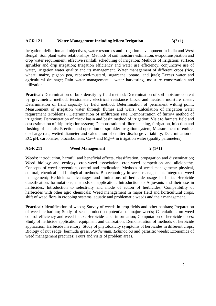#### **AGR 121 Water Management Including Micro Irrigation 3(2+1)**

Irrigation: definition and objectives, water resources and irrigation development in India and West Bengal; Soil plant water relationships; Methods of soil moisture estimation, evapotranspiration and crop water requirement; effective rainfall, scheduling of irrigation; Methods of irrigation: surface, sprinkler and drip irrigation; Irrigation efficiency and water use efficiency, conjunctive use of water, irrigation water quality and its management. Water management of different crops (rice, wheat, maize, pigeon pea, rapeseed-mustard, sugarcane, potato, and jute); Excess water and agricultural drainage; Rain water management - water harvesting, moisture conservation and utilization.

**Practical:** Determination of bulk density by field method; Determination of soil moisture content by gravimetric method, tensiometer, electrical resistance block and neutron moisture meter; Determination of field capacity by field method; Determination of permanent wilting point; Measurement of irrigation water through flumes and weirs; Calculation of irrigation water requirement (Problems); Determination of infiltration rate; Demonstration of furrow method of irrigation; Demonstration of check basin and basin method of irrigation; Visit to farmers field and cost estimation of drip irrigation system; Demonstration of filter cleaning, fertigation, injection and flushing of laterals; Erection and operation of sprinkler irrigation system; Measurement of emitter discharge rate, wetted diameter and calculation of emitter discharge variability; Determination of EC, pH, carbonates, biocarbonates,  $Ca++$  and Mg++ in irrigation water (quality parameters).

#### AGR 211 Weed Management 2(1+1)

Weeds: introduction, harmful and beneficial effects, classification, propagation and dissemination; Weed biology and ecology, crop-weed association, crop-weed competition and allelopathy. Concepts of weed prevention, control and eradication; Methods of weed management: physical, cultural, chemical and biological methods. Biotechnology in weed management. Integrated weed management; Herbicides: advantages and limitations of herbicide usage in India, Herbicide classification, formulations, methods of application; Introduction to Adjuvants and their use in herbicides; Introduction to selectivity and mode of action of herbicides; Compatibility of herbicides with other agro chemicals; Weed management in major field and horticultural crops, shift of weed flora in cropping systems, aquatic and problematic weeds and their management.

**Practical:** Identification of weeds; Survey of weeds in crop fields and other habitats; Preparation of weed herbarium; Study of seed production potential of major weeds; Calculations on weed control efficiency and weed index; Herbicide label information; Computation of herbicide doses; Study of herbicide application equipment and calibration; Demonstration of methods of herbicide application; Herbicide inventory; Study of phytotoxicity symptoms of herbicides in different crops; Biology of nut sedge, bermuda grass, *Parthenium*, *Echinocloa* and parasitic weeds; Economics of weed management practices; Tours and visits of problem areas.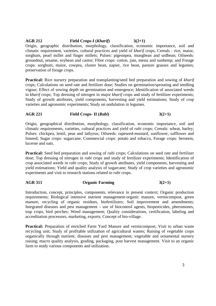#### **AGR 212 Field Crops-I (***Kharif***) 3(2+1)**

Origin, geographic distribution, morphology, classification, economic importance, soil and climatic requirement, varieties, cultural practices and yield of *kharif* crops, Cereals : rice, maize, sorghum, pearl millet and finger millets; Pulses: pigeonpea, mungbean and urdbean; Oilseeds: groundnut, sesame, soybean and castor; Fibre crops: cotton, jute, mesta and sunhemp; and Forage crops: sorghum, maize, cowpea, cluster bean, napier, rice bean, pasture grasses and legumes; preservation of forage crops.

**Practical:** Rice nursery preparation and transplanting/seed bed preparation and sowing of *kharif* crops; Calculations on seed rate and fertilizer dose; Studies on germination/sprouting and seedling vigour; Effect of sowing depth on germination and emergence; Identification of associated weeds in *kharif* crops; Top dressing of nitrogen in major *kharif* crops and study of fertilizer experiments; Study of growth attributes, yield components, harvesting and yield estimations; Study of crop varieties and agronomic experiments; Study on nodulation in legumes.

### **AGR 221 Field Crops- II (***Rabi***) 3(2+1)**

Origin, geographical distribution, morphology, classification, economic importance, soil and climatic requirements, varieties, cultural practices and yield of *rabi* crops; Cereals: wheat, barley; Pulses: chickpea, lentil, peas and lathyrus; Oilseeds: rapeseed-mustard, sunflower, safflower and linseed; Sugar crops: sugarcane; Commercial crops: potato and tobacco, Forage crops: berseem, lucerne and oats.

**Practical:** Seed bed preparation and sowing of *rabi* crops; Calculations on seed rate and fertilizer dose; Top dressing of nitrogen in *rabi* crops and study of fertilizer experiments; Identification of crop associated weeds in *rabi* crops; Study of growth attributes, yield components, harvesting and yield estimations; Yield and quality analysis of sugarcane; Study of crop varieties and agronomic experiments and visit to research stations related to *rabi* crops.

### **AGR 311 Organic Farming 3(2+1)**

Introduction, concept, principles, components, relevance in present context; Organic production requirements; Biological intensive nutrient management-organic manure, vermicompost, green manure, recycling of organic residues, biofertilizers; Soil improvement and amendments; Integrated diseases and pest management – use of biocontrol agents, biopesticides, pheromones, trap crops, bird perches; Weed management; Quality considerations, certification, labeling and accreditation processors, marketing, exports; Concept of bio-village.

**Practical:** Preparation of enriched Farm Yard Manure and vermicompost; Visit to urban waste recycling unit; Study of profitable utilization of agricultural wastes; Raising of vegetable crops organically through nutrient, diseases and pest management; vegetable and ornamental nursery raising; macro quality analysis, grading, packaging, post harvest management. Visit to an organic farm to study various components and utilization.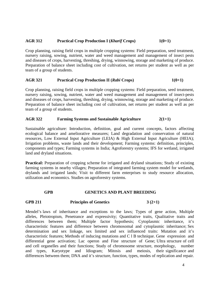#### **AGR 312 Practical Crop Production I (***Kharif* **Crops) 1(0+1)**

Crop planning, raising field crops in multiple cropping systems: Field preparation, seed treatment, nursery raising, sowing, nutrient, water and weed management and management of insect pests and diseases of crops, harvesting, threshing, drying, winnowing, storage and marketing of produce. Preparation of balance sheet including cost of cultivation, net returns per student as well as per team of a group of students.

#### **AGR 321 Practical Crop Production II (***Rabi* **Crops) 1(0+1)**

Crop planning, raising field crops in multiple cropping systems: Field preparation, seed treatment, nursery raising, sowing, nutrient, water and weed management and management of insect-pests and diseases of crops, harvesting, threshing, drying, winnowing, storage and marketing of produce. Preparation of balance sheet including cost of cultivation, net returns per student as well as per team of a group of students.

#### **AGR 322 Farming Systems and Sustainable Agriculture 2(1+1)**

Sustainable agriculture: Introduction, definition, goal and current concepts, factors affecting ecological balance and ameliorative measures; Land degradation and conservation of natural resources, Low External Input Agriculture (LEIA) & High External Input Agriculture (HEIA); Irrigation problems, waste lands and their development; Farming systems: definition, principles, components and types; Farming systems in India; Agroforestry systems; IFS for wetland, irrigated land and dryland situations.

**Practical:** Preparation of cropping scheme for irrigated and dryland situations; Study of existing farming systems in nearby villages; Preparation of integrated farming system model for wetlands, drylands and irrigated lands; Visit to different farm enterprises to study resource allocation, utilization and economics. Studies on agroforestry systems.

#### **GPB GENETICS AND PLANT BREEDING**

#### **GPB 211 Principles of Genetics 3 (2+1)**

Mendel's laws of inheritance and exceptions to the laws; Types of gene action, Multiple alleles, Pleiotropism, Penetrance and expressivity; Quantitative traits, Qualitative traits and differences between them; Multiple factor hypothesis; Cytoplasmic inheritance, it's characteristic features and difference between chromosomal and cytoplasmic inheritance; Sex determination and sex linkage, sex limited and sex influenced traits: Mutation and it's characteristic features; Methods of inducing mutations and C l B technique. Gene expression and differential gene activation; Lac operon and Fine structure of Gene; Ultra structure of cell and cell organelles and their functions; Study of chromosome structure, morphology, number<br>and types, Karyotype and Idiogram; Mitosis and meiosis, their significance and and types, Karyotype and Idiogram; Mitosis and meiosis, their significance and differences between them; DNA and it's structure, function, types, modes of replication and repair.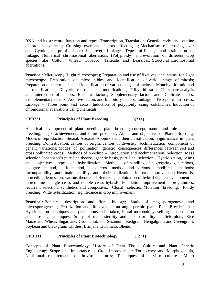RNA and its structure, function and types; Transcription, Translation, Genetic code and outline of protein synthesis; Crossing over and factors affecting it; Mechanism of crossing over and Cytological proof of crossing over; Linkage, Types of linkage and estimation of linkage; Numerical chromosomal aberrations (Polyploidy) and evolution of different crop species like Cotton, Wheat, Tobacco, Triticale and Brassicas; Structural chromosomal aberrations.

**Practical:** Microscopy (Light microscopes); Preparation and use of fixatives and stains for light microscopy; Preparation of micro slides and identification of various stages of mitosis; Preparation of micro slides and identification of various stages of meiosis; Monohybrid ratio and its modifications; Dihybrid ratio and its modifications; Trihybrid ratio; Chi-square analysis and Interaction of factors; Epistatic factors, Supplementary factors and Duplicate factors; Complementary factors, Additive factors and Inhibitory factors; Linkage – Two point test cross; Linkage – Three point test cross; Induction of polyploidy using colchicines; Induction of chromosomal aberrations using chemicals.

#### **GPB221 Principles of Plant Breeding 3(2+1)**

Historical development of plant breeding, plant breeding concept, nature and role of plant breeding, major achievements and future prospects, Aims and objectives of Plant Breeding; Modes of reproduction, Sexual, Asexual, Apomixis and their classification; Significance in plant breeding; Domestication, centres of origin, centres of diversity, acclimatization; components of genetic variations; Modes of pollination, genetic consequences, differences between self and cross pollinated crops; Methods of breeding – introduction and acclimatization. Selection, Mass selection Johannson's pure line theory, genetic basis, pure line selection; Hybridization, Aims and objectives, types of hybridization; Methods of handling of segregating generations, pedigree method, bulk method, back cross method and various modified methods; Incompatibility and male sterility and their utilization in crop improvement; Heterosis, inbreeding depression, various theories of Heterosis, exploitation of hybrid vigour development of inbred lines, single cross and double cross hybrids; Population improvement programmes, recurrent selection, synthetics and composites; Clonal selection;Mutation breeding; Ploidy breeding; Wide hybridization, significance in crop improvement.

**Practical:** Botanical description and floral biology; Study of megasporogenesis and microsporogenesis; Fertilization and life cycle of an angiospermic plant; Plant Breeder's kit; Hybridization techniques and precautions to be taken; Floral morphology, selfing, emasculation and crossing techniques; Study of male sterility and incomapribility in field plots; Rice Maize and Wheat; Sugarcane, Groundnut, and Sesamum; Redgram, Bengalgram and Greengram; Soybean and blackgram; Chillies, Brinjal and Tomato; Bhendi.

#### **GPB 311 Principles of Plant Biotechnology 3(2+1)**

Concepts of Plant Biotechnology: History of Plant Tissue Culture and Plant Genetic Engineering; Scope and importance in Crop Improvement: Totipotency and Morphogenesis, Nutritional requirements of in-vitro cultures; Techniques of In-vitro cultures, Micro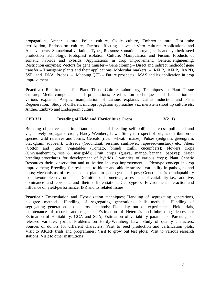propagation, Anther culture, Pollen culture, Ovule culture, Embryo culture, Test tube fertilization, Endosperm culture, Factors affecting above in-vitro culture; Applications and Achievements; Somaclonal variation, Types, Reasons: Somatic embryogenesis and synthetic seed production technology; Protoplast isolation, Culture, Manipulation and Fusion; Products of somatic hybrids and cybrids, Applications in crop improvement. Genetic engineering; Restriction enzymes; Vectors for gene transfer – Gene cloning – Direct and indirect methodof gene transfer – Transgenic plants and their applications. Molecular markers – RFLP, AFLP, RAPD, SSR and DNA Probes – Mapping QTL – Future prospects. MAS and its application in crop improvement.

**Practical:** Requirements for Plant Tissue Culture Laboratory; Techniques in Plant Tissue Culture; Media components and preparations; Sterilization techniques and Inoculation of various explants; Aseptic manipulation of various explants; Callus induction and Plant Regeneration; Study of different micropropagation approaches viz. meristem shoot tip culture *etc*. Anther, Embryo and Endosperm culture;

### GPB 321 Breeding of Field and Horticulture Crops 3(2+1)

Breeding objectives and important concepts of breeding self pollinated, cross pollinated and vegetatively propagated crops; Hardy-Weinberg Law; Study in respect of origin, distribution of species, wild relatives and forms, Cereals (rice, wheat, maize); Pulses (redgram, greengram, blackgram, soybean); Oilseeds (Groundnut, sesame, sunflower, rapeseed-mustard) etc. Fibers (Cotton and jute); Vegetables (Tomato, bhindi, chilli, cucumbers); Flowers crops (Chrysanthemum, rose, & marigold); Fruit crops (guava, mango, banana, papaya); Major breeding procedures for development of hybrids / varieties of various crops; Plant Genetic Resources their conservation and utilization in crop improvement; Ideotype concept in crop improvement; Breeding for resistance to biotic and abiotic stresses variability in pathogens and pests; Mechanisms of resistance in plant to pathogens and pest; Genetic basis of adaptability to unfavourable environments; Definition of biometrics, assessment of variability i.e., additive, dominance and epistasis and their differentiation; Genotype x Environment interaction and influence on yield/performance, IPR and its related issues.

**Practical:** Emasculation and Hybridization techniques: Handling of segregating generations, pedigree methods; Handling of segregating generations, bulk methods; Handling of segregating generations, back cross methods; Field lay out of experiments; Field trials, maintenance of records and registers; Estimation of Heterosis and inbreeding depression; Estimation of Heritability, GCA and SCA; Estimation of variability parameters; Parentage of released varieties/hybrids; Problems on Hardy-Weinberg Law; Study of quality characters; Sources of donors for different characters; Visit to seed production and certification plots; Visit to AICRP trials and programmes; Visit to grow out test plots; Visit to various research stations; Visit to other institutions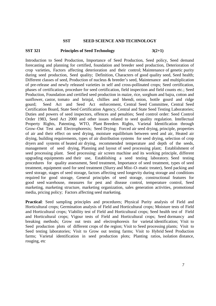#### **SST SEED SCIENCE AND TECHNOLOGY**

#### **SST 321** Principles of Seed Technology 3(2+1)

Introduction to Seed Production, Importance of Seed Production, Seed policy, Seed demand forecasting and planning for certified, foundation and breeder seed production, Deterioration of crop varieties, Factors affecting deterioration and their control; Maintenance of genetic purity during seed production, Seed quality; Definition, Characters of good quality seed, Seed health; Different classes of seed, Production of nucleus & breeder's seed, Maintenance and multiplication of pre-release and newly released varieties in self and cross-pollinated crops; Seed certification, phases of certification, procedure for seed certification, field inspection and field counts etc.; Seed Production, Foundation and certified seed production in maize, rice, sorghum and bajra, cotton and sunflower, castor, tomato and brinjal, chillies and bhendi, onion, bottle gourd and ridge gourd; Seed Act and Seed Act enforcement, Central Seed Committee, Central Seed Certification Board, State Seed Certification Agency, Central and State Seed Testing Laboratories; Duties and powers of seed inspectors, offences and penalties; Seed control order: Seed Control Order 1983, Seed Act 2000 and other issues related to seed quality regulation. Intellectual Property Rights, Patenting, WTO, Plant Breeders Rights, Varietal Identification through Grow–Out Test and Electrophoresis; Seed Drying: Forced air seed drying, principle, properties of air and their effect on seed drying, moisture equilibrium between seed and air, Heated air drying, building requirements, types of air distribution systems for seed drying, selection of crop dryers and systems of heated air drying, recommended temperature and depth of the seeds, management of seed drying, Planning and layout of seed processing plant; Establishment of seed processing plant. Seed processing: air screen machine and its working principle, different upgrading equipments and their use, Establishing a seed testing laboratory. Seed testing procedures for quality assessment, Seed treatment, Importance of seed treatment, types of seed treatment, equipment used for seed treatment (Slurry and Mist–O–matic treater), Seed packing and seed storage, stages of seed storage, factors affecting seed longevity during storage and conditions required for good storage, General principles of seed storage, constructional features for good seed warehouse, measures for pest and disease control, temperature control, Seed marketing, marketing structure, marketing organization, sales generation activities, promotional media, pricing policy; Factors affecting seed marketing.

**Practical**: Seed sampling principles and procedures; Physical Purity analysis of Field and Horticultural crops; Germination analysis of Field and Horticultural crops; Moisture tests of Field and Horticultural crops; Viability test of Field and Horticultural crops; Seed health test of Field and Horticultural crops; Vigour tests of Field and Horticultural crops; Seed dormancy and breaking methods; Grow out tests and electrophoresis for varietal identification; Visit to Seed production plots of different crops of the region; Visit to Seed processing plants; Visit to Seed testing laboratories; Visit to Grow out testing farms; Visit to Hybrid Seed Production farms; Varietal identification in seed production plots; Planting ratios, isolation distance, rouging, etc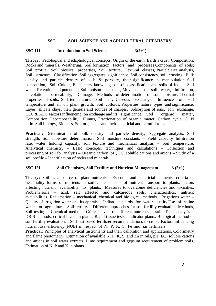#### **SSC SOIL SCIENCE AND AGRICULTURAL CHEMISTRY**

#### **SSC 111** Introduction to Soil Science  $3(2+1)$

**Theory:** Pedological and edaphological concepts, Origin of the earth, Earth's crust; Composition: Rocks and minerals. Weathering, Soil formation factors and processes Components of soils; Soil profile, Soil physical properties, Soil texture, Textural classes, Particle size analysis, Soil structure Classification, Soil aggregates, significance, Soil consistency, soil crusting, Bulk density and particle density of soils & porosity, their significance and manipulation, Soil compaction, Soil Colour, Elementary knowledge of soil classification and soils of India; Soil water, Retention and potentials, Soil moisture constants, Movement of soil water, Infiltration, percolation, permeability, Drainage, Methods of determination of soil moisture. Thermal properties of soils, Soil temperature, Soil air, Gaseous exchange, Influence of soil temperature and air on plant growth; Soil colloids, Properties, nature, types and significance; Layer silicate clays, their genesis and sources of charges, Adsorption of ions, Ion exchange, CEC & AEC Factors influencing ion exchange and its significance. Soil organic matter, Composition, Decomposability, Humus, Fractionation of organic matter, Carbon cycle, C: N ratio. Soil biology, Biomass, Soil organisms and their beneficial and harmful roles.

**Practical:** Determination of bulk density and particle density, Aggregate analysis, Soil strength, Soil moisture determination, Soil moisture constants – Field capacity Inflitration rate, water holding capacity, soil texture and mechanical analysis – Soil temperature. Analytical chemistry – Basic concepts, techniques and calculations – Collection and processing of soil for analysis – Organic carbon, pH, EC, soluble cations and anions – Study of a soil profile – Identification of rocks and minerals.

#### **SSC 121** Soil Chemistry, Soil Fertility and Nutrient Management 3 (2+1)

**Theory:** Soil as a source of plant nutrients. Essential and beneficial elements, criteria of essentiality, forms of nutrients in soil , mechanisms of nutrient transport to plants, factors affecting nutrient availability to plants. Measures to overcome deficiencies and toxicities. Problem soils – acid, salt affected and calcareous soils, characteristics, nutrient availabilities. Reclamation – mechanical, chemical and biological methods. Irrigations water – Quality of irrigation water and its appraisal. Indian standards for water quality.Use of saline water for agriculture. Soil fertility – Different approaches for soil fertility evaluation. Methods, Soil testing – Chemical methods. Critical levels of different nutrients in soil. Plant analysis – DRIS methods, critical levels in plants. Rapid tissue tests. Indicator plants. Biological method of soil fertility evaluation. Soil test based fertilizer recommendations to crops. Factors influencing nutrient use efficiency (NUE) in respect of N, P, K, S, Fe and Zn fertilizers.

**Practical:** Principles of analytical Instruments and their calibration and applications, Colorimetry and flame photometry. Estimation of available N, P, K, S, and Zn in oils, pH, EC, soluble cations and anions in soil water extracts. Lime requirement and gypsum requirement of problem soils. Estimation of N, P and K in plants.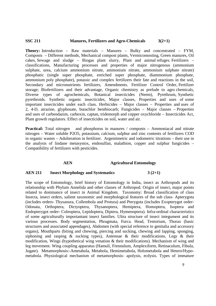#### **SSC 211 Manures, Fertilizers and Agro-Chemicals 3(2+1)**

**Theory:** Introduction – Raw materials – Manures – Bulky and concentrated – FYM, Composts – Different methods, Mechanical compost plants, Vermicomosting, Green manures, Oil cakes, Sewage and sludge – Biogas plant slurry, Plant and animal refuges. Fertilizers – classifications, Manufacturing processes and properties of major nitrogenous (ammonium sulphate, urea, calcium ammonium nitrate, ammonium nitrate, ammonium sulphate nitrate) phosphatic (single super phosphate, enriched super phosphate, diammonium phosphate, ammonium poly phosphate), potassic and complex fertilizers their fate and reactions in the soil, Secondary and micronutrients fertilizers, Amendments. Fertilizer Control Order, Fertilizer storage; Biofertilizers and their advantage, Organic chemistry as prelude to agro chemicals, Diverse types of agrochemicals, Botanical insecticides (Neem), Pyrethrum, Synthetic pyrethroids. Synthetic organic insecticides, Major classes, Properties and uses of some important insecticides under each class. Herbicides – Major classes – Properties and uses of 2, 4-D, atrazine, glyphosate, butachlor benthiocarb; Fungicides – Major classes – Properties and uses of carbendazim, carboxin, captan, tridemorph and copper oxychloride – Insecticides Act, Plant growth regulators. Effect of insecticides on soil, water and air.

**Practical:** Total nitrogen and phosphorus in manures / composts – Ammoniacal and nitrate nitrogen – Water soluble P2O5, potassium, calcium, sulphur and zinc contents of fertilizers COD in organic wastes – Adulteration in fertilizer. Argentimetric and iodometric titrations – their use in the analysis of lindane metasystox, endosulfan, malathion, copper and sulphur fungicides – Compatibility of fertilizers with pesticides.

#### **AEN Agricultural Entomology**

#### **AEN 211 Insect Morphology and Systematics 3 (2+1)**

The scope of Entomology, brief history of Entomology in India, insect as Arthropods and its relationship with Phylum Annelida and other classes of Arthropod. Origin of insect, major points related to dominance of insect in Animal Kingdom. Taxonomy: Broad classification of class Insecta, insect orders, salient taxonomic and morphological features of the sub class- Apterygota (includes orders- Thysanura, Collembola and Protura) and Pterygota (includes Exopterygot order-Odonata, Orthoptera, Dictyoptera, Thysanoptera, Hemiptera, Homoptera, Isoptera and Endopterygot order- Coleoptera, Lepidoptera, Diptera, Hymenoptera). Infra-ordinal characteristics of some agriculturally importantant insect families. Ultra structure of insect integument and its various processes. Body segmentation, Phragmata, Furca. Head, Tentorium, Thorax (basic structures and associated appendages), Abdomen (with special reference to genitalia and accessory organs), Mouthparts (biting and chewing, piercing and sucking, chewing and lapping, sponging, siphoning and rasping  $\&$  sucking types), Antennae  $\&$  their modifications, Legs  $\&$  their modification, Wings (hypothetical wing venation & their modifications). Mechanism of wing and leg movement. Wing coupling apparatus (Hamuli, Frennulum, Amplexiform, Retinaculum, Fibula, Jugate). Metamorphosis:-Ametabola, Metabola, Hemimetabola, Holometabola and Hetero/Hypometabola. Physiological mechanism of metamorphosis- apolysis, ecdysis. Types of immature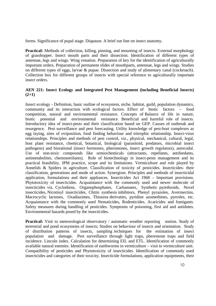forms. Significance of pupal stage. Diapause. A brief out line on insect anatomy.

**Practical:** Methods of collection, killing, pinning, and mounting of insects. External morphology of grasshopper. Insect mouth parts and their dissection. Identification of different types of antennae, legs and wings. Wing venation. Preparation of key for the identification of agriculturally important orders. Preparation of permanent slides of mouthparts, antennae, legs and wings. Studies on different types of eggs, larvae & pupae. Dissection and study of alimentary canal (cockroach). Collection box for different groups of insects with special reference to agriculturally important insect orders.

#### **AEN 221: Insect Ecology and Integrated Pest Management (including Beneficial Insects) (2+1)**

Insect ecology - Definition, basic outline of ecosystem, niche, habitat, guild, population dynamics, community and its interaction with ecological factors. Effect of biotic factors – food competition, natural and environmental resistance. Concepts of Balance of life in nature, biotic potential and environmental resistance. Beneficial and harmful role of insects. Introductory idea of insect-pests and their classification based on GEP. Causes of outbreak and resurgence. Pest surveillance and pest forecasting. Utility knowledge of pest-host complexes as egg laying, sites of oviposition, food finding behaviour and tritrophic relationship. Insect-virus relationships. Principles and methods of pest control, viz., physical, mechanical, cultural, legal, host plant resistance, chemical, botanical, biological (parasitoid, predators, microbial insect pathogens) and biorational (insect hormones, pheromones, insect growth regulators), autocodal. Use of non-toxic compounds like semiochemicals (attractants, repellants, antifeedants, antimetabolites, chemosterilants). Role of biotechnology in insect-pests management and its practical feasibility. IPM practice, scope and its limitations. Vermiculture and role played by Annelids & Spiders in agriculture. Classification of toxicity of pesticides. Insecticides- their classification, generations and mode of action. Synergism. Principles and methods of insecticidal application, formulations and their appliances. Insecticides Act 1968 – Important provisions. Phytotoxicity of insecticides. Acquaintance with the commonly used and newer molecule of insecticides viz. Cyclodiens, Organophosphates, Carbamates, Synthetic pyrethroids, Novel insecticides, Nicotinyl insecticides, Chitin synthesis inhibitors, Phenyl pyrazoles, Avermectins, Macrocyclic lactones, Oxadiazimes, Thiourea derivaties, pyridine azomethines, pyrroles, etc. Acquaintance with the commonly used Nematicides, Rodenticides, Acaricides and fumigants. Safety measures during handling of pesticides. Symptoms of poisoning, first aid and antidotes. Environmental hazards posed by the insecticides.

**Practical:** Visit to meteorological observatory / automatic weather reporting station. Study of terrestrial and pond ecosystems of insects; Studies on behaviour of insects and orientation. Study of distribution patterns of insects, sampling techniques for the estimation of insect population and damage. Pest surveillance through light traps, pheremone traps and field incidence. Lincoln index. Calculation for determining EIL and ETL. Identification of commonly available natural enemies. Identification of earthworms in vermiculture – visit to vermiculture unit. Compatibility of pesticides and Phytotoxicity of insecticides. Identification of commonly used insecticides and categories of their toxicity. Insecticide formulations, application equipments, their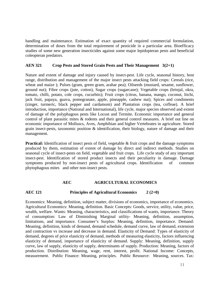handling and maintenance. Estimation of exact quantity of required commercial formulation, determination of doses from the total requirement of pesticide in a particular area. Bioefficacy studies of some new generation insecticides against some major lepidopteran pests and beneficial coleopteran predators.

#### **AEN 321 Crop Pests and Stored Grain Pests and Their Management 3(2+1)**

Nature and extent of damage and injury caused by insect-pest. Life cycle, seasonal history, host range, distribution and management of the major insect pests attacking field crops: Cereals (rice, wheat and maize ); Pulses (gram, green gram, arahar pea); Oilseeds (mustard, sesame, sunflower, ground nut); Fibre crops (jute, cotton), Sugar crops (sugarcane); Vegetable crops (brinjal, okra, tomato, chilli, potato, cole crops, cucurbits); Fruit crops (citrus, banana, mango, coconut, litchi, jack fruit, papaya, guava, pomegranate, apple, pineapple, cashew nut); Spices and condiments (zinger, turmeric, black pepper and cardamom) and Plantation crops (tea, coffeae). A brief introduction, importance (National and International), life cycle, major species observed and extent of damage of the polyphagous pests like Locust and Termite. Economic importance and general control of plant parasitic mites & rodents and their general control measures. A brief out line on economic importance of Molluscs, Aves, Amphibian and higher Vertebrates in agriculture. Stored grain insect-pests, taxonomic position & identification, their biology, nature of damage and their management.

**Practical:** Identification of insect pests of field, vegetable & fruit crops and the damage symptoms produced by them, estimation of extent of damage by direct and indirect methods. Studies on seasonal cycle of insect-pests on field, vegetable and fruit crops. Life cycle study of any important insect-pest. Identification of stored product insects and their peculiarity in damage. Damage symptoms produced by non-insect pests of agricultural crops. Identification of common phytophagous mites and other non-insect pests.

#### **AEC AGRICULTURAL ECONOMICS**

#### **AEC 121 Principles of Agricultural Economics 2 (2+0)**

Economics: Meaning, definition, subject matter, divisions of economics, importance of economics. Agricultural Economics: Meaning, definition. Basic Concepts: Goods, service, utility, value, price, wealth, welfare. Wants: Meaning, characteristics, and classifications of wants, importance. Theory of consumption: Law of Diminishing Marginal utility- Meaning, definition, assumption, limitations, and importance. Consumer's Surplus: Meaning, definition, importance. Demand: Meaning, definition, kinds of demand, demand schedule, demand curve, law of demand, extension and contraction vs increase and decrease in demand. Elasticity of Demand: Types of elasticity of demand, degrees of price elasticity of demand, methods of measuring elasticity, factors influencing elasticity of demand, importance of elasticity of demand. Supply: Meaning, definition, supply curve, law of supply, elasticity of supply, determinants of supply. Production: Meaning, factors of production. Distribution: Meaning, wage, rent, interest, profit. National Income: Concepts, measurement. Public Finance: Meaning, principles. Public Resource: Meaning, sources. Tax: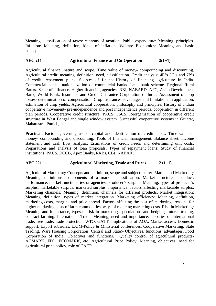Meaning, classification of taxes: cannons of taxation. Public expenditure: Meaning, principles. Inflation: Meaning, definition, kinds of inflation. Welfare Economics: Meaning and basic concepts.

#### AEC 211 **Agricultural Finance and Co-Operation** 2(1+1)

Agricultural finance: nature and scope. Time value of money- compounding and discounting. Agricultural credit: meaning, definition, need, classification. Credit analysis: 4R's 5C's and 7P's of credit, repayment plans. Sources of finance-History of financing agriculture in India. Commercial banks- nationalization of commercial banks. Lead bank scheme. Regional Rural Banks. Scale of finance. Higher financing agencies- RBI, NABARD, AFC, Asian Development Bank, World Bank, Insurance and Credit Guarantee Corporation of India. Assessment of crop losses- determination of compensation. Crop insurance- advantages and limitations in application, estimation of crop yields. Agricultural cooperation: philosophy and principles. History of Indian cooperative movement- pre-independence and post independence periods, cooperation in different plan periods. Cooperative credit structure: PACS, FSCS. Reorganisation of cooperative credit structure in West Bengal and single window system. Successful cooperative systems in Gujarat, Maharastra, Punjab, etc.

**Practical**: Factors governing use of capital and identification of credit needs. Time value of money- compounding and discounting; Tools of financial management, Balance sheet, Income statement and cash flow analysis. Estimations of credit needs and determining unit costs; Preparations and analysis of loan proposals; Types of repayment loans; Study of financial institutions: PACS, DCCB, Apex Banks, RRBs, CBs, NABARD.

### **AEC 221 Agricultural Marketing, Trade and Prices 2 (1+1)**

Agricultural Marketing: Concepts and definition, scope and subject matter. Market and Marketing: Meaning, definitions, components of a market, classification. Market structure: conduct, performance, market functionaries or agencies. Producer's surplus: Meaning, types of producer's surplus, marketable surplus, marketed surplus, importance, factors affecting marketable surplus. Marketing channels: Meaning, definition, channels for different products. Market integration: Meaning, definition, types of market integration. Marketing efficiency: Meaning, definition, marketing costs, margins and price spread. Factors affecting the cost of marketing- reasons for higher marketing costs of farm commodities, ways of reducing marketing costs. Risk in Marketing: Meaning and importance, types of risk in marketing, speculations and hedging, futures trading, contract farming. International Trade: Meaning, need and importance, Theories of international trade, free trade, trade protection, WTO, GATT, Implications of AOA, Market access, Domestic support, Export subsidies, EXIM-Policy & Ministerial conferences. Cooperative Marketing, State Trading, Ware Housing Corporation (Central and State)- Objectives, functions, advantages. Food Corporation of India: Objectives and functions. Quality control of agricultural products-AGMARK, FPO, ECOMARK, etc. Agricultural Price Policy: Meaning, objectives, need for agricultural price policy, role of CACP.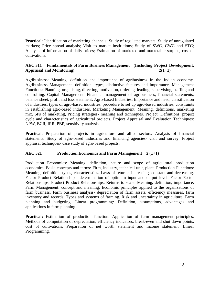**Practical**: Identification of marketing channels; Study of regulated markets; Study of unregulated markets; Price spread analysis; Visit to market institutions; Study of SWC, CWC and STC; Analysis of information of daily prices; Estimation of marketed and marketable surplus, cost of cultivations.

#### **AEC 311 Fundamentals of Farm Business Management (Including Project Development, Appraisal and Monitoring) 2(1+1)**

Agribusiness: Meaning, definition and importance of agribusiness in the Indian economy. Agribusiness Management- definition, types, distinctive features and importance. Management Functions: Planning, organising, directing, motivation, ordering, leading, supervising, staffing and controlling. Capital Management: Financial management of agribusiness, financial statements, balance sheet, profit and loss statement. Agro-based Industries: Importance and need, classification of industries, types of agro-based industries, procedure to set up agro-based industries, constraints in establishing agro-based industries. Marketing Management: Meaning, definitions, marketing mix, 5Ps of marketing, Pricing strategies- meaning and techniques. Project: Definitions, project cycle and characteristics of agricultural projects. Project Appraisal and Evaluation Techniques: NPW, BCR, IRR, PBP, sensitivity analysis.

**Practical**: Preparation of projects in agriculture and allied sectors. Analysis of financial statements. Study of agro-based industries and financing agencies- visit and survey. Project appraisal techniques- case study of agro-based projects.

#### **AEC 321 Production Economics and Farm Management 2 (1+1)**

Production Economics: Meaning, definition, nature and scope of agricultural production economics. Basic concepts and terms: Firm, industry, technical unit, plant. Production Functions: Meaning, definition, types, characteristics. Laws of returns: Increasing, constant and decreasing. Factor Product Relationships- determination of optimum input and output level. Factor Factor Relationships, Product Product Relationships. Returns to scale: Meaning, definition, importance. Farm Management: concept and meaning. Economic principles applied to the organizations of farm business. Farm business analysis- depreciation of farm assets, efficiency measures, farm inventory and records. Types and systems of farming. Risk and uncertainty in agriculture. Farm planning and budgeting. Linear programming: Definition, assumptions, advantages and applications in farm planning.

Practical: Estimation of production function. Application of farm management principles. Methods of computation of depreciation, efficiency indicators, break-even and shut down points, cost of cultivations. Preparation of net worth statement and income statement. Linear Programming.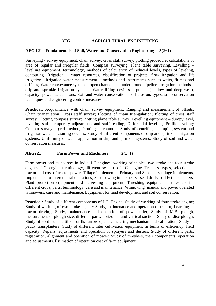#### **AEG AGRICULTURAL ENGINEERING**

#### **AEG 121 Fundamentals of Soil, Water and Conservation Engineering 3(2+1)**

Surveying - survey equipment, chain survey, cross staff survey, plotting procedure, calculations of area of regular and irregular fields. Compass surveying; Plane table surveying. Levelling – levelling equipment, terminology, methods of calculation of reduced levels, types of leveling, contouring. Irrigation – water resources, classification of projects, flow irrigation and lift irrigation. Irrigation water measurement – methods and instruments such as weirs, flumes and orifices; Water conveyance systems - open channel and underground pipeline. Irrigation methods – drip and sprinkle irrigation systems. Water lifting devices – pumps (shallow and deep well), capacity, power calculations. Soil and water conservation- soil erosion, types, soil conservation techniques and engineering control measures.

Practical: Acquaintance with chain survey equipment; Ranging and measurement of offsets; Chain triangulation; Cross staff survey; Plotting of chain triangulation; Plotting of cross staff survey; Plotting compass survey; Plotting plane table survey; Levelling equipment – dumpy level, levelling staff, temporary adjustments and staff reading; Differential leveling; Profile leveling; Contour survey – grid method; Plotting of contours; Study of centrifugal pumping system and irrigation water measuring devices; Study of different components of drip and sprinkler irrigation systems; Uniformity of water application in drip and sprinkler systems; Study of soil and water conservation measures.

#### **AEG221 Farm Power and Machinery 2(1+1)**

Farm power and its sources in India; I.C engines, working principles, two stroke and four stroke engines, I.C. engine terminology, different systems of I.C. engine. Tractors- types, selection of tractor and cost of tractor power. Tillage implements - Primary and Secondary tillage implements, Implements for intercultural operations; Seed sowing implements - seed drills, paddy transplanters; Plant protection equipment and harvesting equipment; Threshing equipment - threshers for different crops, parts, terminology, care and maintenance. Winnowing, manual and power operated winnowers, care and maintenance. Equipment for land development and soil conservation.

**Practical:** Study of different components of I.C. Engine; Study of working of four stroke engine; Study of working of two stroke engine; Study, maintenance and operation of tractor; Learning of tractor driving; Study, maintenance and operation of power tiller; Study of M.B. plough, measurement of plough size, different parts, horizontal and vertical suction; Study of disc plough; Study of seed–cum-fertilizer drills-furrow opener, metering mechanism and calibration; Study of paddy transplanters; Study of different inter cultivation equipment in terms of efficiency, field capacity; Repairs, adjustments and operation of sprayers and dusters; Study of different parts, registration, alignment and operation of mower; Study of threshers, their components, operation and adjustments. Estimation of operation cost of farm equipment.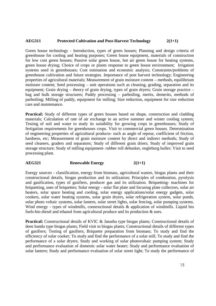#### **AEG311 Protected Cultivation and Post-Harvest Technology 2(1+1)**

Green house technology - Introduction, types of green houses; Planning and design criteria of greenhouse for cooling and heating purposes; Green house equipment, materials of construction for low cost green houses; Passive solar green house, hot air green house for heating systems, green house drying; Choice of crops or plants response to green house environment; Irrigation systems used in greenhouses; Cost estimation and economic analysis; Constraints/problems of greenhouse cultivation and future strategies. Importance of post harvest technology; Engineering properties of agricultural materials; Measurement of grain moisture content – methods, equilibrium moisture content; Seed processing – unit operations such as cleaning, grading, separation and its equipment; Grain drying – theory of grain drying, types of grain dryers; Grain storage practice – bag and bulk storage structures; Paddy processing – parboiling, merits, demerits, methods of parboiling; Milling of paddy, equipment for milling; Size reduction, equipment for size reduction care and maintenance.

**Practical:** Study of different types of green houses based on shape, construction and cladding materials; Calculation of rate of air exchange in an active summer and winter cooling system; Testing of soil and water to study its suitability for growing crops in greenhouses; Study of fertigation requirements for greenhouses crops. Visit to commercial green houses. Determination of engineering properties of agricultural products- such as angle of repose, coefficient of friction, hardness, etc; Measurement of grain moisture content by direct and indirect methods; Study of seed cleaners, graders and separators; Study of different grain driers; Study of improved grain storage structure; Study of milling equipment- rubber roll dehusker, engleburg huller; Visit to seed processing plant.

#### **AEG321 Renewable Energy 2(1+1)**

Energy sources - classification, energy from biomass, agricultural wastes, biogas plants and their constructional details, biogas production and its utilization; Principles of combustion, pyrolysis and gasification, types of gasifiers, producer gas and its utilization. Briquetting- machines for briquetting, uses of briquettes; Solar energy - solar flat plate and focusing plate collectors, solar air heaters, solar space heating and cooling, solar energy applications/solar energy gadgets, solar cookers, solar water heating systems, solar grain dryers, solar refrigeration system, solar ponds, solar photo voltaic systems, solar lantern, solar street lights, solar fencing, solar pumping systems. Wind energy - types of windmills, constructional details & application of windmills. Liquid bio fuels-bio diesel and ethanol from agricultural produce and its production & uses.

**Practical:** Constructional details of KVIC & Janatha type biogas plants; Constructional details of deen bandu type biogas plants; Field visit to biogas plants; Constructional details of different types of gasifiers; Testing of gasifiers; Briquette preparation from biomass; To study and find the efficiency of solar cooker; To study and find the performance of a solar still; To study and find the performance of a solar dryers; Study and working of solar photovoltaic pumping system; Study and performance evaluation of domestic solar water heater; Study and performance evaluation of solar lantern; Study and performance evaluation of solar street light; To study the performance of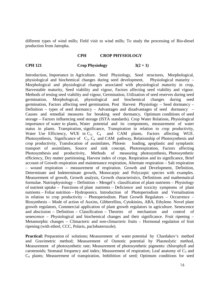different types of wind mills; Field visit to wind mills; To study the processing of Bio-diesel production from Jatropha.

#### **CPH CROP PHYSIOLOGY**

#### **CPH 121** Crop Physiology  $3(2+1)$

Introduction, Importance in Agriculture. Seed Physiology, Seed structures, Morphological, physiological and biochemical changes during seed development, Physiological maturity – Morphological and physiological changes associated with physiological maturity in crop, Harvestable maturity, Seed viability and vigour, Factors affecting seed viability and vigour. Methods of testing seed viability and vigour, Germination, Utilization of seed reserves during seed germination, Morphological, physiological and biochemical changes during seed germination, Factors affecting seed germination. Post Harvest Physiology – Seed dormancy – Definition – types of seed dormancy – Advantages and disadvantages of seed dormancy – Causes and remedial measures for breaking seed dormancy, Optimum conditions of seed storage – Factors influencing seed storage (ISTA standards). Crop Water Relations, Physiological importance of water to plants, Water potential and its components, measurement of water status in plants. Transpiration, significance, Transpiration in relation to crop productivity, Water Use Efficiency, WUE in  $C_3$ ,  $C_4$  and CAM plants, Factors affecting WUE. Photosynthesis, Significance of C<sub>3</sub>, C<sub>4</sub> and CAM pathway, Relationship of Photosynthesis and crop productivity, Translocation of assimilates, Phloem loading, apoplastic and symplastic transport of assimilates, Source and sink concept, Photorespiration, Factors affecting Photosynthesis and productivity, Methods of measuring photosynthesis, Photosynthetic efficiency, Dry matter partitioning, Harvest index of crops. Respiration and its significance, Brief account of Growth respiration and maintenance respiration, Alternate respiration – Salt respiration – wound respiration – measurement of respiration. Growth and Development, Definition, Determinate and Indeterminate growth, Monocarpic and Polycarpic species with examples. Measurement of growth, Growth analysis, Growth characteristics, Definitions and mathematical formulae. Nutriophysiology – Definition – Mengel's classification of plant nutrients – Physiology of nutrient uptake – Functions of plant nutrients – Deficience and toxicity symptoms of plant nutrients – Foliar nutrition – Hydroponics. Introduction of Photoperiodism and Vernalisation in relation to crop productivity – Photoperiodism. Plant Growth Regulators – Occurrence – Biosynthesis – Mode of action of Auxins, Gibberellins, Cytokinins, ABA, Ethylene. Novel plant growth regulators, Commercial application of plant growth regulators in agriculture. Senescence and abscission – Definition – Classification – Theories of mechanism and control of senescence – Physiological and biochemical changes and their significance. Fruit ripening – Metamorphic changes – Climacteric and non-climacteric fruits – Hormonal regulation of fruit ripening (with ethrel, CCC, Polaris, paclobuterozole).

**Practical:** Preparation of solutions; Measurement of water potential by Chardakov's method and Gravimetric method; Measurement of Osmotic potential by Plasmolytic method, Measurement of photosynthetic rate; Measurement of photosynthetic pigments: chlorophyll and carotenoids; Stomatal frequency and index; Measurement of respiration; Leaf anatomy of  $C_3$  and C4 plants; Measurement of transpiration, Imbibition of seed; Optimum conditions for seed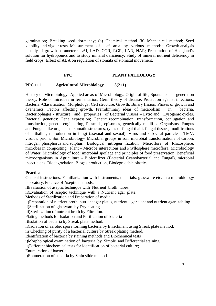germination; Breaking seed dormancy; (a) Chemical method (b) Mechanical method; Seed viability and vigour tests. Measurement of leaf area by various methods; Growth analysis - study of growth parameters: LAI, LAD, CGR, RGR, LAR, NAR; Preparation of Hoagland's solution for hydroponics and to study mineral deficiency, Study of mineral nutrient deficiency in field crops; Effect of ABA on regulation of stomata of stomatal movement.

#### **PPC PLANT PATHOLOGY**

#### **PPC 111 Agricultural Microbiology 3(2+1)**

History of Microbiology- Applied areas of Microbiology. Origin of life, Spontaneous generation theory, Role of microbes in fermentation, Germ theory of disease, Protection against infections. Bacteria -Classification, Morphology, Cell structure, Growth, Binary fission, Phases of growth and dyanamics, Factors affecting growth. Premiliminary ideas of metabolism in bacteria. Bacteriophages - structure and properties of Bacterial viruses – Lytic and Lysogenic cycles. Bacterial genetics: Gene expression; Genetic recombination: transformation, conjugation and transduction, genetic engineering, Plasmids, episomes, genetically modified Organisms. Fungus and Fungus like organisms- somatic structures, types of fungal thalli, fungal tissues, modifications of thallus, reproduction in fungi (asexual and sexual). Virus and sub-viral particles –TMV, viroids, prions. Soil Microbiology- Microbial groups in soil, microbial transformations of carbon, nitrogen, phosphorus and sulphur, Biological nitrogen fixation. Microflora of Rhizosphere, microbes in composting. Plant – Microbe interactions and Phyllosphere microflora. Microbiology of Water, Microbiology of food: microbial spoilage and principles of food preservation. Beneficial microorganisms in Agriculture - Biofertilizer (Bacterial Cyanobacterial and Fungal), microbial insecticides. Biodegradation, Biogas production, Biodegradable plastics.

#### **Practical**

General instructions, Familiarization with instruments, materials, glassware etc. in a microbiology laboratory. Practice of Aseptic methods:

i)Evaluation of aseptic technique with Nutrient broth tubes.

ii)Evaluation of aseptic technique with a Nutrient agar plate.

Methods of Sterilization and Preparation of media

i)Preparation of nutrient broth, nutrient agar plates, nutrient agar slant and nutrient agar stabling.

ii)Sterilization of glassware by Dry heating .

iii)Sterilization of nutrient broth by Filtration.

Plating methods for Isolation and Purification of bacteria

i)Isolation of bacteria by Streak plate method.

ii)Isolation of aerobic spore forming bacteria by Enrichment using Streak plate method.

iii)Checking of purity of a bacterial culture by Streak plating method.

Identification of bacteria by staining methods and Biochemical tests

i)Morphological examination of bacteria by Simple and Differential staining.

ii)Different biochemical tests for identification of bacterial culture;

Enumeration of bacteria:

i)Enumeration of bacteria by Stain slide method.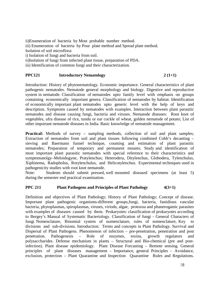ii)Enumeration of bacteria by Most probable number method. iii) Enumeration of bacteria by Pour plate method and Spread plate method. Isolation of soil microflora: i) Isolation of fungi and bacteria from soil. ii)Isolation of fungi from infected plant tissue, preparation of PDA. iii) Identification of common fungi and their characterization.

#### **PPC121** Introductory Nematology 2 (1+1)

Introduction: History of phytonematology. Economic importance. General characteristics of plant pathogenic nematodes. Nematode general morphology and biology. Digestive and reproductive system in nematode. Classification of nematodes upto family level with emphasis on groups containing economically important genera. Classification of nematodes by habitat. Identification of economically important plant nematodes upto generic level with the help of keys and description. Symptoms caused by nematodes with examples. Interaction between plant parasitic nematodes and disease causing fungi, bacteria and viruses. Nematode diseases: Root knot of vegetables, ufra disease of rice, tundu or ear cockle of wheat, golden nematode of potato; List of other important nematode diseases in India. Basic knowledge of nematode management.

**Practical:** Methods of survey – sampling methods, collection of soil and plant samples; Extraction of nematodes from soil and plant tissues following combined Cobb's decanting – sieving and Baermann funnel technique, counting and estimation of plant parasitic nematodes; Preparation of temporary and permanent mounts; Study and identification of most important plant parasitic nematodes with special reference to their characteristics and symptomatolgy–Meloidogyne, Pratylenchus; Heterodera, Ditylenchus, Globodera, Tylenchulus, Xiphinema, Radopholus, Rotylenchulus, and Helicotylenchus. Experimental techniques used in pathogenicity studies with root knot nematode.

 Note: Students should submit pressed, well mounted diseased specimens (at least 5) during the semester end practical examination.

#### **PPC 211** Plant Pathogens and Principles of Plant Pathology  $4(3+1)$

Definition and objectives of Plant Pathology; History of Plant Pathology; Concept of disease. Important plant pathogenic organisms-different groups,fungi, bacteria, fastidious vascular bacteria, phytoplasmas, spiroplasmas, viruses, viriods, algae, protozoa and phanerogamic parasites with examples of diseases caused by them. Prokaryotes: classification of prokaryotes according to Bergey's Manual of Systematic Bacteriology. Classification of fungi - General Characters of fungi Nomenclature, Binomial system of nomenclature, rules of nomenclature, Key to divisions and sub-divisions. Introduction: Terms and concepts in Plant Pathology. Survival and Dispersal of Plant Pathogens. Phenomenon of infection – pre-penetration, penetration and post penetration. Pathogenesis – Role of enzymes, toxins, growth regulators and polysaccharides. Defense mechanism in plants – Structural and Bio-chemical (pre and postinfection). Plant disease epidemiology. Plant Disease Forcasting – Remote sensing. General principles of plant diseases management – Importance, general Principles – Avoidance, exclusion, protection – Plant Quarantine and Inspection Quarantine Rules and Regulations.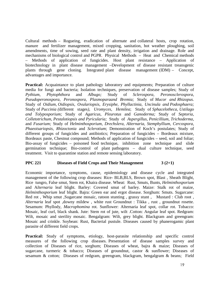Cultural methods – Rogueing, eradication of alternate and collateral hosts, crop rotation, manure and fertilizer management, mixed cropping, sanitation, hot weather ploughing, soil amendments, time of sowing, seed rate and plant density, irrigation and drainage. Role and mechanisms of biological control and PGPR. Physical Methods – Heat and Chemical methods – Methods of application of fungicides. Host plant resistance – Application of biotechnology in plant disease management –Development of disease resistant treansgenic plants through gene cloning. Integrated plant disease management (IDM) – Concept, advantages and importance.

**Practical:** Acquaintance to plant pathology laboratory and equipments; Preparation of culture media for fungi and bacteria; Isolation techniques, preservation of disease samples; Study of Pythium, Phytophthora and Albugo: Study of Sclerospora. Peronosclerospora. *Pythium, Phytophthora* and *Albugo;* Study of *Sclerospora, Peronosclerospora, Pseudoperonospora, Peronospora, Plasmoparaand Bremia;* Study of *Mucor and Rhizopus.*  Study of *Oidium, Oidiopsis, Ovulariopsis, Erysiphe, Phyllactinia, Uncinula and Podosphaera;*  Study of *Puccinia (*different stages*), Uromyces, Hemilea*; Study of *Sphacelotheca, Ustilago and Tolyposporium;* Study of *Agaricus, Pleurotus* and *Ganoderma;* Study of *Septoria, Colletotrichum, Pestalotiopsis and Pyricularia;* Study of *Aspergillus, Penicillium, Trichoderma,*  and *Fusarium;* Study of *Helminthosporium, Drechslera, Alternaria, Stemphyllium, Cercospora, Phaeoisariopsis, Rhizoctonia* and *Sclerotium*; Demonstration of Koch's postulates; Study of different groups of fungicides and antibiotics; Preparation of fungicides – Bordeaux mixture, Bordeaux paste, Chestnut compound; Methods of application of fungicides – seed, soil and foliar; Bio-assay of fungicides – poisoned food technique, inhibition zone technique and slide germination technique; Bio-control of plant pathogens – dual culture technique, seed treatment. Visit to quarantine station and remote sensing laboratory.

#### **PPC 221 Diseases of Field Crops and Their Management 3 (2+1)**

Economic importance, symptoms, cause, epidemiology and disease cycle and integrated management of the following crop diseases: Rice- BLB,BLS, Brown spot, Blast , Sheath Blight, Rice tungro, False smut, Stem rot, Khaira disease. Wheat: Rust, Smuts, Bunts, *Helminthosporium* and A*lternaria* leaf blight. Barley: Covered smut of barley. Maize: Stalk rot of maize, *Helminthosporium* leaf blight. Bajra: Green ear and ergot disease. Sorghum: Smuts. Sugarcane: Red rot, Whip smut ,Sugarcane mosaic, ratoon stunting, grassy stunt, Mustard : Club root, *Alternaria* leaf spot ,downy mildew , white rust Groundnut : Tikka , rust , groundnut rosette. Sesamum: Phyllody, *Macrophomina* rot. Sunflower: Alternaria leaf spot, collar rot. Tobacco: Mosaic, leaf curl, black shank. Jute: Stem rot of jute, wilt .Cotton: Angular leaf spot. Redgram: Wilt, mosaic and sterility mosaic. Bengalgram: Wilt, grey blight. Blackgram and greengram: Mosaic and crinkle. Soybean: Rust, Bacterial pustule. Diseases caused by phanerogamic plant parasite of different field crops.

Practical: Study of symptoms, etiology, host-parasite relationship and specific control measures of the following crop diseases. Presentation of disease samples survey and collection of Diseases of rice, sorghum; Diseases of wheat, bajra & maize; Diseases of sugarcane, turmeric & tobacco; Diseases of groundnut, castor & sunflower; Diseases of sesamum & cotton; Diseases of redgram, greengram, blackgram, bengalgram & beans; Field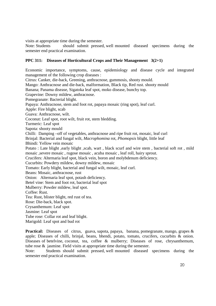visits at appropriate time during the semester.

 Note: Students should submit pressed, well mounted diseased specimens during the semester end practical examination.

#### **PPC 311: Diseases of Horticultural Crops and Their Management 3(2+1)**

Economic importance, symptoms, cause, epidemiology and disease cycle and integrated management of the following crop diseases : Citrus: Canker, die-back, Greening, anthracnose, gummosis, shooty mould. Mango: Anthracnose and die-back, malformation, Black tip, Red rust. shooty mould Banana; Panama disease, Sigatoka leaf spot, moko disease, bunchy top. Grapevine: Downy mildew, anthracnose. Pomegranate: Bacterial blight. Papaya: Anthracnose, stem and foot rot, papaya mosaic (ring spot), leaf curl. Apple: Fire blight, scab Guava: Anthracnose, wilt. Coconut: Leaf spot, root wilt, fruit rot, stem bledding. Turmeric: Leaf spot Sapota: shooty mould Chilli: Damping –off of vegetables, anthracnose and ripe fruit rot, mosaic, leaf curl Brinjal: Bacterial and fungal wilt, *Macrophomina* rot, *Phomopsis* blight, little leaf Bhindi: Yellow vein mosaic Potato : Late blight ,early blight ,scab, wart , black scurf and wire stem , bacterial soft rot , mild mosaic ,severe mosaic , rugose mosaic , acuba mosaic , leaf roll, hairy sprout. Crucifers: Alternaria leaf spot, black vein, boron and molybdenum deficiency. Cucurbits: Powdery mildew, downy mildew, mosaic Tomato: Early blight, bacterial and fungal wilt, mosaic, leaf curl. Beans: Mosaic, anthracnose, rust Onion: Alternaria leaf spot, potash deficiency. Betel vine: Stem and foot rot, bacterial leaf spot Mulberry: Powder mildew, leaf spot. Coffee: Rust. Tea: Rust, blister blight, red rust of tea. Rose: Die-back, black spot. Crysanthemum: Leaf spot Jasmine: Leaf spot Tube rose: Collar rot and leaf blight. Marigold: Leaf spot and bud rot

**Practical:** Diseases of citrus, guava, sapota, papaya, banana, pomegranate, mango, grapes & apple; Diseases of chilli, brinjal, beans, bhendi, potato, tomato, crucifers, cucurbits & onion. Diseases of betelvine, coconut, tea, coffee & mulberry; Diseases of rose, chrysanthemum, tube rose & jasmine. Field visits at appropriate time during the semester.

 Note: Students should submit pressed, well mounted diseased specimens during the semester end practical examination.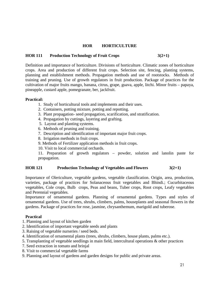#### **HOR HORTICULTURE**

#### **HOR 111 Production Technology of Fruit Crops 3(2+1)**

Definition and importance of horticulture. Divisions of horticulture. Climatic zones of horticulture crops. Area and production of different fruit crops. Selection site, fencing, planting systems, planning and establishment methods. Propagation methods and use of rootstocks. Methods of training and pruning. Use of growth regulators in fruit production. Package of practices for the cultivation of major fruits mango, banana, citrus, grape, guava, apple, litchi. Minor fruits – papaya, pineapple, custard apple, pomegranate, ber, jackfruit.

#### **Practical:**

- 1. Study of horticultural tools and implements and their uses.
- 2. Containers, potting mixture, potting and repotting.
- 3. Plant propagation- seed propagation, scarification, and stratification.
- 4. Propagation by cuttings, layering and grafting.
- 5. Layout and planting systems.
- 6. Methods of pruning and training.
- 7. Description and identification of important major fruit crops.
- 8. Irrigation methods in fruit crops.
- 9. Methods of Fertilizer application methods in fruit crops.
- 10. Visit to local commercial orchards.

11. Preparation of growth regulators – powder, solution and lanolin paste for propagation.

#### **HOR 121 Production Technology of Vegetables and Flowers 3(2+1)**

Importance of Olericulture, vegetable gardens, vegetable classification. Origin, area, production, varieties, package of practices for Solanaceous fruit vegetables and Bhindi.; Cucurbitaceous vegetables, Cole crops, Bulb crops, Peas and beans, Tuber crops, Root crops, Leafy vegetables and Perennial vegetables.

Importance of ornamental gardens. Planning of ornamental gardens. Types and styles of ornamental gardens. Use of trees, shrubs, climbers, palms, houseplants and seasonal flowers in the gardens. Package of practices for rose, jasmine, chrysanthemum, marigold and tuberose.

#### **Practical**

- 1. Planning and layout of kitchen garden
- 2. Identification of important vegetable seeds and plants
- 3. Raising of vegetable nurseries / seed beds.
- 4. Identification of ornamental plants (trees, shrubs, climbers, house plants, palms etc.).
- 5. Transplanting of vegetable seedlings in main field, intercultural operations & other practices
- 7. Seed extraction in tomato and brinjal
- 8. Visit to commercial vegetable farms
- 9. Planning and layout of gardens and garden designs for public and private areas.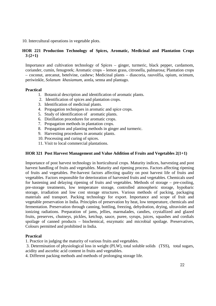10. Intercultural operations in vegetable plots.

#### **HOR 221 Production Technology of Spices, Aromatic, Medicinal and Plantation Crops 3 (2+1)**

Importance and cultivation technology of Spices – ginger, turmeric, black pepper, cardamom, coriander, cumin, fenugreek; Aromatic crops – lemon grass, citronella, palmarosa; Plantation crops – coconut, arecanut, betelvine, cashew; Medicinal plants – diascoria, rauvolfia, opium, ocimum, periwinkle, *Solanum khasiamum*, aonla, senna and plantago.

#### **Practical**

- 1. Botanical description and identification of aromatic plants.
- 2. Identification of spices and plantation crops.
- 3. Identification of medicinal plants.
- 4. Propagation techniques in aromatic and spice crops.
- 5. Study of identification of aromatic plants.
- 6. Distillation procedures for aromatic crops.
- 7. Propagation methods in plantation crops.
- 8. Propagation and planting methods in ginger and turmeric.
- 9. Harvesting procedures in aromatic plants.
- 10. Processing and curing of spices.
- 11. Visit to local commercial plantations.

#### **HOR 321 Post Harvest Management and Value Addition of Fruits and Vegetables 2(1+1)**

Importance of post harvest technology in horticultural crops. Maturity indices, harvesting and post harvest handling of fruits and vegetables. Maturity and ripening process. Factors affecting ripening of fruits and vegetables. Pre-harvest factors affecting quality on post harvest life of fruits and vegetables. Factors responsible for deterioration of harvested fruits and vegetables. Chemicals used for hastening and delaying ripening of fruits and vegetables. Methods of storage – pre-cooling, pre-storage treatments, low temperature storage, controlled atmospheric storage, hypobaric storage, irradiation and low cost storage structures. Various methods of packing, packaging materials and transport. Packing technology for export. Importance and scope of fruit and vegetable preservation in India. Principles of preservation by heat, low temperature, chemicals and fermentation. Preservation through canning, bottling, freezing, dehydration, drying, ultraviolet and ionizing radiations. Preparation of jams, jellies, marmalades, candies, crystallized and glazed fruits, preserves, chutneys, pickles, ketchup, sauce, puree, syrups, juices, squashes and cordials spoilage of canned products – biochemical, enzymatic and microbial spoilage. Preservatives, Colours permitted and prohibited in India.

#### **Practical**

1. Practice in judging the maturity of various fruits and vegetables.

 3. Determination of physiological loss in weight (PLW), total soluble solids (TSS), total sugars, acidity and ascorbic acid content in fruits and vegetables.

4. Different packing methods and methods of prolonging storage life.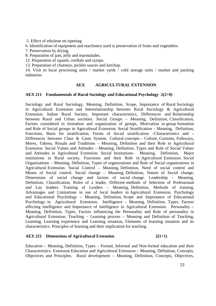5. Effect of ethylene on ripening.

6. Identification of equipment and machinery used is preservation of fruits and vegetables.

7. Preservation by drying.

8. Preparation of jam, jelly and marmalades.

12. Preparation of squash, cordials and syrups.

13. Preparation of chutneys, pickles sauces and ketchup.

14. Visit to local processing units / market yards / cold storage units / market and packing industries

#### **AEX AGRICULTURAL EXTENSION**

#### **AEX 211 Fundamentals of Rural Sociology and Educational Psychology 2(2+0)**

Sociology and Rural Sociology, Meaning, Definition, Scope, Importance of Rural Sociology in Agricultural Extension and Interrelationship between Rural Sociology & Agricultural Extension. Indian Rural Society, Important characteristics, Differences and Relationship between Rural and Urban societies. Social Groups – Meaning, Definition, Classification, Factors considered in formation and organization of groups, Motivation in group formation and Role of Social groups in Agricultural Extension. Social Stratification – Meaning, Definition, Functions, Basis for stratification, Forms of Social stratification –Characteristics and – Differences between Class & Caste System. Cultural concepts – Culture, Customs, Folkways, Mores, Taboos, Rituals and Traditions – Meaning, Definition and their Role in Agricultural Extension. Social Values and Attitudes – Meaning, Definition, Types and Role of Social Values and Attitudes in Agricultural Extension. Social Institutions– Meaning, Definition, Major institutions in Rural society, Functions and their Role in Agricultural Extension. Social Organizations – Meaning, Definition, Types of organizations and Role of Social organizations in Agricultural Extension. Social Control – Meaning, Definition, Need of social control and Means of Social control. Social change – Meaning, Definition, Nature of Social change, Dimensions of social change and factors of social change. Leadership – Meaning, Definition, Classification, Roles of a leader, Different methods of Selection of Professional and Lay leaders. Training of Leaders – Meaning, Definition, Methods of training, Advantages and Limitations in use of local leaders in Agricultural Extension. Psychology and Educational Psychology – Meaning, Definition, Scope and Importance of Educational Psychology in Agricultural Extension. Intelligence – Meaning, Definition, Types, Factors affecting intelligence and Importance of intelligence in Agricultural Extension. Personality – Meaning, Definition, Types, Factors influencing the Personality and Role of personality in Agricultural Extension. Teaching – Learning process – Meaning and Definition of Teaching, Learning, Learning experience and Learning situation, Elements of learning situation and its characteristics. Principles of learning and their implication for teaching.

#### **AEX 221 Dimensions of Agricultural Extension 2(1+1)**

Education – Meaning, Definition, Types – Formal, Informal and Non-formal education and their Characteristics. Extension Education and Agricultural Extension – Meaning, Definition, Concepts, Objectives and Principles. Rural development – Meaning, Definition, Concepts, Objectives,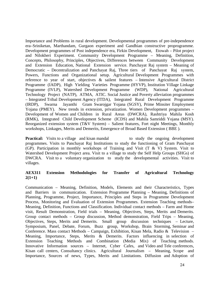Importance and Problems in rural development. Developmental programmes of pre-independence era–Sriniketan, Marthandam, Gurgaon experiment and Gandhian constructive proprogramme. Development programmes of Post independence era, Firkin Development, Etowah – Pilot project and Nilokheri Experiment. Community Development Programme – Meaning, Definition, Concepts, Philosophy, Principles, Objectives, Differences between Community Development and Extension Education, National Extension service. Panchayat Raj system – Meaning of Democratic – Decentralization and Panchayat Raj, Three tiers of Panchayat Raj system, Powers, Functions and Organizational setup. Agricultural Development Programmes with reference to year of start, objectives & sailent features – Intensive Agricultural District Programme (IADP), High Yielding Varieties Programme (HYVP), Institution Village Linkage Programme (IVLP), Watershed Development Programme (WDP), National Agricultural Technology Project (NATP), ATMA, ATIC. Social Justice and Poverty alleviation programmes – Integrated Tribal Development Agency (ITDA), Integrated Rural Development Programme (IRDP), Swarna Jayanthi Gram Swarojgar Yojana (SGSY), Prime Minsiter Employment Yojana (PMEY). New trends in extension, privatization. Women Development programmes – Development of Women and Children in Rural Areas (DWCRA), Rashtriya Mahila Kosh (RMK), Integrated Child Development Scheme (ICDS) and Mahila Samriddi Yojana (MSY). Reorganized extension system (T&V System) – Salient features, Fort night Meetings, Monthly workshops, Linkages, Merits and Demerits, Emergence of Broad Based Extension ( BBE ).

**Practical:** Visits to a village and kisan mandal to study the ongoing development programmes. Visits to Panchayat Raj Institutions to study the functioning of Gram Panchayat (GP). Participation in monthly workshops of Training and Visit (T & V) System. Visit to Watershed Development Project area. Visit to a village to study the Self Help Groups (SHGs) of DWCRA. Visit to a voluntary organization to study the developmental activities. Visit to villages.

#### **AEX311 Extension Methodologies for Transfer of Agricultural Technology 2(1+1)**

Communication – Meaning, Definition, Models, Elements and their Characteristics, Types and Barriers in communication. Extension Programme Planning – Meaning, Definitions of Planning, Programme, Project, Importance, Principles and Steps in Programme Development Process, Monitoring and Evaluation of Extension Programmes. Extension Teaching methods– Meaning, Definition, Functions and Classification. Individual contact methods – Farm and Home visit, Result Demonstration, Field trials – Meaning, Objectives, Steps, Merits and Demerits. Group contact methods – Group discussion, Method demonstration, Field Trips – Meaning, Objectives, Steps, Merits and Demerits. Small group discussion techniques – Lecture, Symposium, Panel, Debate, Forum, Buzz group, Workshop, Brain Storming, Seminar and Conference. Mass contact Methods – Campaign, Exhibition, Kisan Mela, Radio & Television – Meaning, Importance, Steps, Merits & Demerits. Factors influencing in selection of Extension Teaching Methods and Combination (Media Mix) of Teaching methods. Innovative Information sources – Internet, Cyber Cafes, and Video and Tele conferences, Kisan call centers, Consultancy clinics. Agricultural Journalism – Meaning, Scope and Importance, Sources of news, Types, Merits and Limitations. Diffusion and Adoption of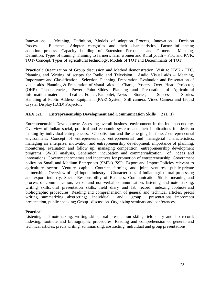Innovations – Meaning, Definition, Models of adoption Process, Innovation – Decision Process – Elements, Adopter categories and their characteristics, Factors influencing adoption process. Capacity building of Extension Personnel and Farmers – Meaning, Definition, Types of training, Training to farmers, farm women and Rural youth – FTC and KVK. TOT- Concept, Types of agricultural technology, Models of TOT and Determinants of TOT.

**Practical:** Organization of Group discussion and Method demonstration. Visit to KVK / FTC. Planning and Writing of scripts for Radio and Television. Audio Visual aids – Meaning, Importance and Classification. Selection, Planning, Preparation, Evaluation and Presentation of visual aids. Planning & Preparation of visual aids – Charts, Posters, Over Head Projector, (OHP) Transparencies, Power Point Slides. Planning and Preparation of Agricultural Information materials – Leaflet, Folder, Pamphlet, News Stories, Success Stories, Handling of Public Address Equipment (PAE) System, Still camera, Video Camera and Liquid Crystal Display (LCD) Projector.

#### **AEX 321 Entrepreneurship Development and Communication Skills 2 (1+1)**

Entrepreneurship Development: Assessing overall business environment in the Indian economy. Overview of Indian social, political and economic systems and their implications for decision making by individual entrepreneurs. Globalisation and the emerging business / entrepreneurial environment. Concept of entrepreneurship; entrepreneurial and managerial characteristics; managing an enterprise; motivation and entrepreneurship development; importance of planning, monitoring, evaluation and follow up; managing competition; entrepreneurship development programs; SWOT analysis, Generation, incubation and commercialization of ideas and innovations. Government schemes and incentives for promotion of entrepreneurship. Government policy on Small and Medium Enterprises (SMEs) /SSIs. Export and Import Policies relevant to agriculture sector. Venture capital. Contract farming and joint ventures, public-private partnerships. Overview of agri inputs industry. Characteristics of Indian agricultural processing and export industry. Social Responsibility of Business. Communication Skills: meaning and process of communication, verbal and non-verbal communication; listening and note taking, writing skills, oral presentation skills; field diary and lab record; indexing, footnote and bibliographic procedures. Reading and comprehension of general and technical articles, précis writing, summarizing, abstracting; individual and group presentations, impromptu presentation, public speaking; Group discussion. Organizing seminars and conferences.

#### **Practical**

Listening and note taking, writing skills, oral presentation skills; field diary and lab record; indexing, footnote and bibliographic procedures. Reading and comprehension of general and technical articles, précis writing, summarizing, abstracting; individual and group presentations.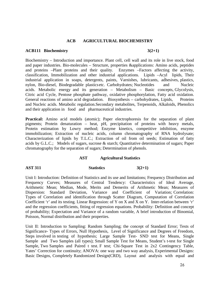#### **ACB AGRICULTURAL BIOCHEMISTRY**

#### **ACB111 Biochemistry 3(2+1)**

Biochemistry – Introduction and importance. Plant cell, cell wall and its role in live stock, food and paper industries. Bio-molecules – Structure, properties &applications: Amino acids, peptides and proteins –Plant proteins and their quality. Enzymes –Factors affecting the activity, classification, Immobilization and other industrial applications. Lipids –Acyl lipids, Their industrial application in soaps, detergents, paints, Varnishes, lubricants, adhesives, plastics, nylon, Bio-diesel, Biodegradable plastics etc. Carbohydrates; Nucleotides and Nucleic acids. Metabolic energy and its generation – Metabolism – Basic concepts, Glycolysis, Citric acid Cycle, Pentose phosphate pathway, oxidative phosphorylation, Fatty acid oxidation. General reactions of amino acid degradation. Biosynthesis – carbohydrates, Lipids, Proteins and Nucleic acids. Metabolic regulation.Secondary metabolites, Terpenoids, Alkaloids, Phenolics and their application in food and pharmaceutical industries.

**Practical:** Amino acid models (atomic); Paper electrophoresis for the separation of plant pigments; Protein denaturation – heat, pH, precipitation of proteins with heavy metals, Protein estimation by Lowry method; Enzyme kinetics, competitive inhibition, enzyme immobilization; Extraction of nucleic acids, column chromatography of RNA hydrolysate; Characterization of lipids by T.L.C.; Extraction of oil from oil seeds; Estimation of fatty acids by G.L.C.; Models of sugars, sucrose & starch; Quantitative determination of sugars; Paper chromatography for the separation of sugars; Determination of phenols.

#### **AST Agricultural Statistics**

#### **AST 311 Statistics** 3(2+1)

Unit I: Introduction: Definition of Statistics and its use and limitations; Frequency Distribution and Frequency Curves; Measures of Central Tendency: Characteristics of Ideal Average, Arithmetic Mean; Median, Mode, Merits and Demerits of Arithmetic Mean; Measures of Dispersion: Standard Deviation, Variance and Coefficient of Variation; Correlation: Types of Correlation and identification through Scatter Diagram, Computation of Correlation Coefficient 'r' and its testing. Linear Regression: of Y on X and X on Y. Inter-relation between 'r' and the regression coefficients, fitting of regression equations. Probability: Definition and concept of probability; Expectation and Variance of a random variable, A brief introduction of Binomial, Poisson, Normal distribution and their properties.

Unit II: Introduction to Sampling: Random Sampling; the concept of Standard Error; Tests of Significance- Types of Errors, Null Hypothesis, Level of Significance and Degrees of Freedom, Steps involved in testing of hypothesis; Large Sample Test- SND test for Means, Single Sample and Two Samples (all types); Small Sample Test for Means, Student's t-test for Single Sample, Two Samples and Paired t test. F test; Chi-Square Test in 2x2 Contingency Table, Yates' Correction for continuity; ANOVA: one way and two way analysis, Experimental Designs: Basic Designs, Completely Randomized Design(CRD), Layout and analysis with equal and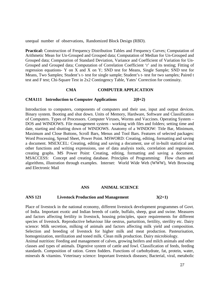unequal number of observations, Randomized Block Design (RBD).

**Practical:** Construction of Frequency Distribution Tables and Frequency Curves; Computation of Arithmetic Mean for Un-Grouped and Grouped data; Computation of Median for Un-Grouped and Grouped data; Computation of Standard Deviation, Variance and Coefficient of Variation for Un-Grouped and Grouped data; Computation of Correlation Coefficient 'r' and its testing; Fitting of regression equations- Y on X and X on Y; SND test for Means, Single Sample; SND test for Means, Two Samples; Student's t- test for single sample; Student's t- test for two samples; Paired t test and F test; Chi-Square Test in 2x2 Contingency Table, Yates' Correction for continuity.

#### **CMA COMPUTER APPLICATION**

#### **CMA111 Introduction to Computer Applications 2(0+2)**

Introduction to computers, components of computers and their use, input and output devices. Binary system. Booting and shut down. Units of Memory, Hardware, Software and Classification of Computers. Types of Processors. Computer Viruses, Worms and Vaccines. Operating System – DOS and WINDOWS. File management system - working with files and folders; setting time and date, starting and shutting down of WINDOWS. Anatomy of a WINDOW: Title Bar, Minimum, Maximum and Close Buttons, Scroll Bars, Menus and Tool Bars. Features of selected packages: Word Processing, Spread Sheet, Power Point. MSWORD: Creating, editing, formatting and saving a document. MSEXCEL: Creating, editing and saving a document, use of in-built statistical and other functions and writing expressions, use of data analysis tools, correlation and regression, creating graphs. MS Power Point: Creating, editing, formatting and saving a document. MSACCESS: Concept and creating database. Principles of Programming: Flow charts and algorithms, illustration through examples. Internet: World Wide Web (WWW), Web Browsing and Electronic Mail

#### **ANS ANIMAL SCIENCE**

#### **ANS 121 Livestock Production and Management 3(2+1)**

Place of livestock in the national economy, different livestock development programmes of Govt. of India. Important exotic and Indian breeds of cattle, buffalo, sheep, goat and swine. Measures and factors affecting fertility in livestock, housing principles, space requirements for different species of livestock. Reproductive behaviour like oestrus, parturition, fertility, sterility etc. Dairy science: Milk secretion, milking of animals and factors affecting milk yield and composition. Selection and breeding of livestock for higher milk and meat production. Pasteurisation, homogenization, sterilization and toned milk. Clean milk production. Dairy microbiology.

Animal nutrition: Feeding and management of calves, growing heifers and milch animals and other classes and types of animals. Digestive system of cattle and fowl. Classification of feeds, feeding standards. Composition of ration. Green fodders. Functions of carbohydrate, fat, protein, water, minerals & vitamins. Veterinary science: Important livestock diseases; Bacterial, viral, metabolic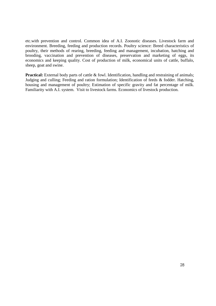etc.with prevention and control. Common idea of A.I. Zoonotic diseases. Livestock farm and environment. Breeding, feeding and production records. Poultry science: Breed characteristics of poultry, their methods of rearing, breeding, feeding and management, incubation, hatching and brooding, vaccination and prevention of diseases, preservation and marketing of eggs, its economics and keeping quality. Cost of production of milk, economical units of cattle, buffalo, sheep, goat and swine.

**Practical:** External body parts of cattle & fowl. Identification, handling and restraining of animals; Judging and culling; Feeding and ration formulation; Identification of feeds & fodder. Hatching, housing and management of poultry; Estimation of specific gravity and fat percentage of milk. Familiarity with A.I. system. Visit to livestock farms. Economics of livestock production.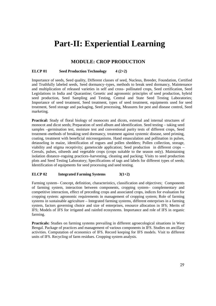## **Part-II: Experiential Learning**

## **MODULE: CROP PRODUCTION**

#### **ELCP 01** Seed Production Technology 4 (2+2)

Importance of seeds, Seed quality, Different classes of seed, Nucleus, Breeder, Foundation, Certified and Truthfully labeled seeds, Seed dormancy–types, methods to break seed dormancy, Maintenance and multiplication of released varieties in self and cross- pollinated crops, Seed certification, Seed Legislations in India and Quarantine; Genetic and agronomic principles of seed production, hybrid seed production, Seed Sampling and Testing, Central and State Seed Testing Laboratories; Importance of seed treatment, Seed treatment, types of seed treatment, equipments used for seed treatment, Seed storage and packaging, Seed processing, Measures for pest and disease control, Seed marketing.

**Practical:** Study of floral biology of monocots and dicots, external and internal structures of monocot and dicot seeds; Preparation of seed album and identification. Seed testing – taking seed samples –germination test, moisture test and conventional purity tests of different crops, Seed treatment–methods of breaking seed dormancy, treatment against systemic disease, seed priming, coating, treatment with beneficial microorganisms. Hand emasculation and pollination in pulses, detasseling in maize, identification of rogues and pollen shedders; Pollen collection, storage, viability and stigma receptivity; gametocide application; Seed production in different crops – Cereals, pulses, oilseeds and vegetable crops (crops suitable to the season only). Maintaining isolation distance–roguing practices–harvesting, cleaning and packing; Visits to seed production plots and Seed Testing Laboratory; Specifications of tags and labels for different types of seeds; Identification of equipments for seed processing and seed testing.

#### **ELCP 02 Integrated Farming Systems 3(1+2)**

Farming system– Concept, definition, characteristics, classification and objectives; Components of farming system, interaction between components, cropping system– complementary and competitive interaction, effect of preceding crops and associated crops, indices for evaluation for cropping system: agronomic requirements in management of cropping system; Role of farming systems in sustainable agriculture – Integrated farming systems, different enterprises in a farming system, factors governing choice and size of enterprises, resource allocation in IFS; Merits of IFS; Models of IFS for irrigated and rainfed ecosystems. Importance and role of IFS in organic farming.

**Practicals:** Studies on farming systems prevailing in different agroecological situations in West Bengal. Package of practices and management of various components in IFS. Studies on ancillary activities. Computation of economics of IFS. Record keeping for IFS models. Visit to different units of IFS. Recycling of farm residues. Cropping system analysis.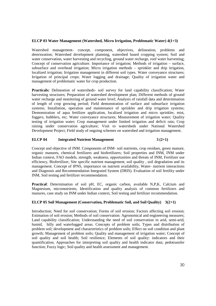#### **ELCP 03 Water Management (Watershed, Micro Irrigation, Problematic Water) 4(1+3)**

Watershed management- concept, component, objectives, delineation, problems and deterioration; Watershed development planning, watershed based cropping system; Soil and water conservation, water harvesting and recycling, ground water recharge, roof water harvesting; Concept of conservation agriculture. Importance of irrigation; Methods of irrigation – surface, subsurface and overhead irrigation; Micro irrigation methods – sprinkler and drip irrigation, localized irrigation; Irrigation management in different soil types. Water conveyance structures; Irrigation of principal crops; Water logging and drainage; Quality of irrigation water and management of problematic water for crop production.

Practicals: Delineation of watersheds- soil survey for land capability classification; Water harvesting structures; Preparation of watershed development plan; Different methods of ground water recharge and monitoring of ground water level; Analysis of rainfall data and determination of length of crop growing period; Field demonstration of surface and subsurface irrigation systems; Installation, operation and maintenance of sprinkler and drip irrigation systems; Demonstration of aqua fertilizer application, localized irrigation and micro sprinkler, mist, foggers, bubblers, etc; Water conveyance structures; Measurement of irrigation water; Quality testing of irrigation water; Crop management under limited irrigation and deficit rain; Crop raising under conservation agriculture; Visit to watersheds under National Watershed Development Project; Field study of ongoing schemes on watershed and irrigation management.

#### **ELCP 04** Integrated Nutrient Management 3 (2+1)

Concept and objective of INM. Components of INM- soil nutrients, crop residues, green manure, organic manures, chemical fertilizers and biofertilizers; Soil properties and INM, INM under Indian context, FAO models, strength, weakness, opportunities and threats of INM, Fertilizer use efficiency, Biofertilizer, Site specific nutrient management, soil quality , soil degradation and its management. Concept of IPNS, importance on nutrient availability, Water- nutrient interactions and Diagnosis and Recommendation Integrated System (DRIS). Evaluation of soil fertility under INM, Soil testing and fertilizer recommendation.

**Practical**: Determination of soil pH, EC, organic carbon, available N,P,K, Calcium and Magnesium, micronutrients, Identification and quality analysis of common fertilizers and manures, case study on INM under Indian context, Soil testing and fertilizer recommendation.

#### **ELCP 05 Soil Management (Conservation, Problematic Soil, and Soil Quality) 3(2+1)**

Introduction; Need for soil conservation; Forms of soil erosion; Factors affecting soil erosion; Estimation of soil erosion; Methods of soil conservation: Agronomical and engineering measures; Land capability classification; Understanding the need of soil conservation in arid, semi-arid, humid, hilly and waterlogged areas. Concepts of problem soils; Types and distribution of problem soil; development and characteristics of problem soils; Effect on soil condition and plant growth; Management of problem soils; Quality and management of irrigation water; Concept of soil quality and soil health; Soil resilience; Elements of soil quality: indicators and their quantification; Approaches for interpreting soil quality and health indicator data; pedotransfer function; Fuzzy logic; Soil quality and health assessment and management.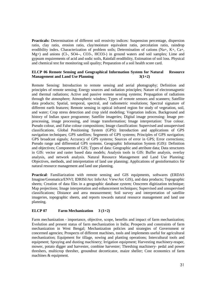**Practicals:** Determination of different soil erosivity indices: Suspension percentage, dispersion ratio, clay ratio, erosion ratio, clay/moisture equivalent ratio, percolation ratio, raindrop erodibility index. Characterization of problem soils; Determination of cations (Na+, K+, Ca+, Mg+) and anions (Cl-, SO4--, CO3-, HCO3-) in ground waters and soil samples; Lime and gypsum requirements of acid and sodic soils, Rainfall erodibility, Estimation of soil loss. Physical and chemical test for monitoring soil quality; Preparation of a soil health score card.

#### **ELCP 06 Remote Sensing and Geographical Information System for Natural Resource Management and Land Use Planning 3(1+2)**

Remote Sensing: Introduction to remote sensing and aerial photography; Definition and principles of remote sensing; Energy sources and radiation principles; Nature of electromagnetic and thermal radiations; Active and passive remote sensing systems; Propagation of radiations through the atmosphere; Atmospheric window; Types of remote sensors and scanners; Satellite data products; Spatial, temporal, spectral, and radiometric resolutions; Spectral signature of different earth features; Remote sensing in optical infrared region for study of vegetation, soil, and water; Crop stress detection and crop yield modeling; Vegetation indices. Background and history of Indian space programme; Satellite imageries; Digital image processing: Image preprocessing, image processing, and image transformation; Image interpretation: True colour. Pseudo colour, and False colour compositions; Image classification: Supervised and unsupervised classifications. Global Positioning System (GPS): Introduction and applications of GPS navigation techniques; GPS satellites; Segments of GPS systems; Principles of GPS navigation; GPS broadcast signals; Accuracy of GPS systems; Sources of error in GPS; Error corrections; Pseudo range and differential GPS systems. Geographic Information System (GIS): Definition and objectives; Components of GIS; Types of data: Geographic and attribute data; Data structures in GIS: vector and raster based data models; Analysis tools in GIS: Buffer analysis, overlay analysis, and network analysis. Natural Resource Management and Land Use Planning: Objectives, methods, and interpretation of land use planning; Applications of geoinformatics for natural resource management and land use planning.

**Practical**: Familiarization with remote sensing and GIS equipments, softwares (ERDAS Imagine/Geomatica/ENVI; IDRISI/Arc Info/Arc View/Arc GIS), and data products; Topographic sheets; Creation of data files in a geographic database system; Onscreen digitization technique; Map projections; Image interpretation and enhancement techniques; Supervised and unsupervised classifications; Distance and area measurement; Soil survey and interpretation of satellite imageries, topographic sheets, and reports towards natural resource management and land use planning.

#### **ELCP 07 Farm Mechanization 3 (1+2)**

Farm mechanization - importance, objective, scope, benefits and impact of farm mechanization; Evolution and present status of farm mechanization in India; Prospects and constraints of farm mechanization in West Bengal; Mechanization policies and strategies of Government or concerned agencies; Prospects of different machines, tools and implements useful for agricultural mechanization; Equipment for tillage, sowing and planting operations; Intercultural tools and equipment; Spraying and dusting machinery; Irrigation equipment; Harvesting machinery-reaper, mower, potato digger and harvester, combine harvester; Threshing machinery- pedal and power threshers, multicrop thresher, groundnut decorticator, maize sheller; Cost economics of farm machines & equipment.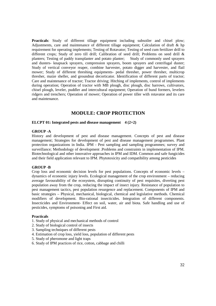**Practicals:** Study of different tillage equipment including subsoiler and chisel plow; Adjustments, care and maintenance of different tillage equipment; Calculation of draft & hp requirement for operating implements; Testing of Rotavator; Testing of seed cum fertilizer drill to different crops; Study of zero till drill; Calibration of seed drill; Problems on seed drill & planters; Testing of paddy transplanter and potato planter; Study of commonly used sprayers and dusters- knapsack sprayers, compression sprayers, boom sprayers and centrifugal duster; Study of vertical conveyor reaper, combine harvester, potato digger and harvester, and flail mower; Study of different threshing equipments- pedal thresher, power thresher, multicrop thresher, maize sheller, and groundnut decorticator. Identification of different parts of tractor; Care and maintenance of tractor; Tractor driving; Hitching of implements, control of implements during operation; Operation of tractor with MB plough, disc plough, disc harrows, cultivators, chisel plough, leveler, puddler and intercultural equipment; Operation of bund formers, levelers ridgers and trenchers; Operation of mower; Operation of power tiller with rotavator and its care and maintenance.

### **MODULE: CROP PROTECTION**

#### **ELCPT 01: Integrated pests and disease management** 4 (2+2)

#### **GROUP -A**

History and development of pest and disease management. Concepts of pest and disease management; Strategies for development of pest and disease management programmes. Plant protection organizations in India. IPM - Pest sampling and sampling programmes; survey and surveillance; Methodology of development .Problems and constraints in implementation of IPM. Biotechnological and other innovative approaches in IPM and IDM. Common and safe fungicides and their field application relevant to IPM. Phytotoxicity and compatibility among pesticides

#### **GROUP -B**

Crop loss and economic decision levels for pest populations. Concepts of economic levels – dynamics of economic injury levels. Ecological management of the crop environment – reducing average favourability of the ecosystem, disrupting continuity of pest requisites, diverting pest population away from the crop, reducing the impact of insect injury. Resistance of population to pest management tactics, pest population resurgence and replacement. Components of IPM and basic strategies – Physical, mechanical, biological, chemical and legislative methods. Chemical modifiers of development. Bio-rational insecticides. Integration of different components. Insecticides and Environment- Effect on soil, water, air and biota. Safe handling and use of pesticides, symptoms of poisoning and First aid.

#### **Practicals**

- 1. Study of physical and mechanical methods of control
- 2. Study of biological control of insects
- 3. Sampling techniques of different pests
- 4. Estimation of crop loss, yield loss, population of different pests
- 5. Study of pheromone and light traps
- 6. Study of IPM practices of rice, cotton, cabbage and chilli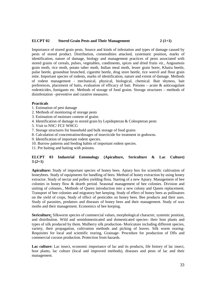#### **ELCPT 02 Stored Grain Pests and Their Management 2 (1+1)**

Importance of stored grain pests. Source and kinds of infestation and types of damage caused by pests of stored product. Distribution, commodities attacked, systematic position, marks of identification, nature of damage, biology and management practices of pests associated with stored grains of cereals, pulses, vegetables, condiments, spices and dried fruits *viz.,* Angoumois grain moth, rice moth, potato tuber moth, Indian meal moth, lesser grain borer, Khaira beetle, pulse beetle, groundnut brunched, cigarette beetle, drug store beetle, rice weevil and flour grain mite. Important species of rodents, marks of identification, nature and extent of damage. Methods of rodent management - mechanical, physical, biological, chemical. Bait shyness, bait preferences, placement of baits, evaluation of efficacy of bait. Poisons – acute & anticoagulant rodenticides, fumigants etc. Methods of storage of food grains. Storage structures – methods of disinfestation –preventive and curative measures.

#### **Practicals**

- 1. Estimation of pest damage
- 2. Methods of monitoring of storage pests
- 3. Estimation of moisture content of grains
- 4. Identification of damage to stored grain by Lepidopteran & Coleopteran pests
- 5. Visit to NSC/ FCI/ WHCG
- 7. Storage structures for household and bulk storage of food grains
- 8. Calculation of concentration/dosages of insecticide for treatment in godowns.
- 9. Identification of important rodent species.
- 10. Burrow patterns and feeding habits of important rodent species.
- 11. Pre baiting and baiting with poisons.

#### **ELCPT 03 Industrial Entomology (Apiculture, Sericulture & Lac Culture) 3 (2+1)**

**Apiculture:** Study of important species of honey bees. Apiary box for scientific cultivation of honeybees. Study of equipments for handling of bees. Method of honey extraction by using honey extractor. Study of nectar and pollen yielding flora. Starting of a new Apiary. Management of bee colonies in honey flow & dearth period. Seasonal management of bee colonies. Division and uniting of colonies., Methods of Queen introduction into a new colony and Queen replacement. Transport of bee colonies and migratory bee keeping. Study of effect of honey bees as pollinators on the yield of crops, Study of effect of pesticides on honey bees. Bee products and their uses. Study of parasites, predators and diseases of honey bees and their management. Study of wax moths and their management. Economics of bee keeping.

**Sericulture:** Silkworm species of commercial values, morphological character, systemic position, and distribution. Wild and semidomesticated and domesticated species- their host plants and types of silk produced by them. Mulberry silk production- Moricuture including different species, variety, their propagation, cultivation methods and picking of leaves. Silk worm rearing-Requisites for local and scientific rearing, Grainage- Procedure for production of Dfls and commercial cocoon production. Protection from hazards.

**Lac culture:** Lac insect, economic importance of lac and its products, life history of lac insect, host plants, lac culture (local and improved methods), diseases and pests of lac and their management.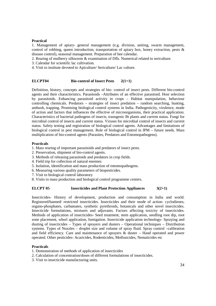#### **Practical**

1. Management of apiary- general management (e.g. division, uniting, swarm management, control of robbing, queen introduction, transportation of apiary box, honey extraction, pests & disease control), seasonal management. Preparation of bee calendar.

2. Rearing of mulberry silkworm & examination of Dfls. Numerical related to sericulture.

3. Calendar for scientific lac cultivation.

4. Visit to institute devoted to Apiculture/ Sericulture/ Lac culture.

#### **ELCPT04 Bio-control of Insect Pests 2(1+1)**

Definition, history, concepts and strategies of bio- control of insect pests. Different bio-control agents and their characteristics. Parasitoids –Attributes of an effective parasitoid. Host selection by parasitoids. Enhancing parasitoid activity in crops – Habitat manipulation, behaviour controlling chemicals. Predators – strategies of insect predation – random searching, hunting, ambush, trapping. Promising biological control systems in India. Pathogenicity, virulence, mode of action and factors that influences the effective of microorganisms, their practical application. Characteristics of bacterial pathogens of insects, transgenic Bt plants and current status. Fungi for microbial control of insects and current status. Viruses for microbial control of insects and current status. Safety testing and registration of biological control agents. Advantages and limitations of biological control in pest management. Role of biological control in IPM – future needs. Mass multiplication of bio-control agents (Parasites, Predators and Entomopathogens).

#### **Practicals**

- 1. Mass rearing of important parasitoids and predators of insect pests.
- 2. Preservation, shipment of bio-control agents.
- 3. Methods of releasing parasitoids and predators in crop fields.
- 4. Field trip for collection of natural enemies
- 5. Isolation, identification and mass production of entomopathogens.
- 6. Measuring various quality parameters of biopesticides.
- 7. Visit to biological control laboratory
- 8. Visits to mass production and biological control programme centers.

#### **ELCPT 05** Insecticides and Plant Protection Appliances  $3(2+1)$

Insecticides- History of development, production and consumption in India and world. Registered/banned/ restricted insecticides. Insecticides and their mode of action- cyclodienes, organo-phosphates, carbamates, synthetic pyrethroids, botanicals and other novel insecticides. Insecticide formulations, mixtures and adjuvants. Factors affecting toxicity of insecticides. Methods of application of insecticides- Seed treatment, stem application, seedling root dip, root zone placement, whorl application, fumigation. Insecticide application technology- Spraying and dusting of insecticides – Types of sprayers and dusters – Operational techniques – Distribution systems. Types of Nozzles – droplet size and volume of spray fluid. Spray control –calibration and field efficiency. Care and maintenance of sprayers & duster – Hand operated and power operated. Other pesticides- Acaricides, Rodenticides, Mollusicides, Nematicides etc

#### **Practicals**

1. Demonstration of methods of application of insecticides

- 2. Calculation of concentration/doses of different formulations of insecticides.
- 3. Visit to insecticide manufacturing units.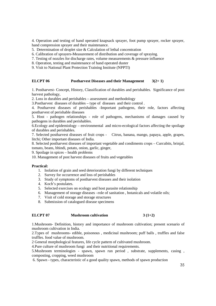4. Operation and testing of hand operated knapsack sprayer, foot pump sprayer, rocker sprayer, hand compression sprayer and their maintenance.

5. Determination of droplet size & Calculation of lethal concentration

6. Calibration of sprayers-Measurement of distribution and coverage of spraying.

- 7. Testing of nozzles for discharge rates, volume measurements & pressure influence
- 8. Operation, testing and maintenance of hand operated duster
- 9. Visit to National Plant Protection Training Institute (NPPTI)

#### **ELCPT 06** Postharvest Diseases and their Management  $3(2+1)$

1. Postharvest- Concept, History, Classification of durables and perishables. Significance of post harvest pathology,

2. Loss in durables and perishables – assessment and methodology

3.Postharvest diseases of durables – type of diseases and their control .

4. Postharvest diseases of perishables -Important pathogens, their role, factors affecting postharvest of perishable diseases

5. Host - pathogen relationships - role of pathogens, mechanisms of damages caused by pathogens in durables and perishables.

6.Ecology and epidemiology – environmental and micro-ecological factors affecting the spoilage of durables and perishables.

7. Selected postharvest diseases of fruit crops - Citrus, banana, mango, papaya, apple, grapes, litchi; Other important diseases of India.

8. Selected postharvest diseases of important vegetable and condiments crops – Curcubits, brinjal, tomato, beans, bhindi, potato, onion, garlic, ginger,

9. Spoilage in spices – health problems

10. Management of post harvest diseases of fruits and vegetables

#### **Practical:**

- 1. Isolation of grain and seed deterioration fungi by different techniques
- 2. Survey for occurrence and loss of perishables
- 3. Study of symptoms of postharvest diseases and their isolation
- 4. Koch's postulates.
- 5. Selected exercises on ecology and host parasite relationship
- 6. Management of storage diseases –role of sanitation , botanicals and volatile oils;
- 7. Visit of cold storage and storage structures
- 8. Submission of catalogued disease specimens

#### **ELCPT 07** Mushroom cultivation 3 (1+2)

1.Mushroom- Definition, history and importance of mushroom cultivation; present scenario of mushroom cultivation in India.

2.Types of mushrooms- edible, poisonous , medicinal mushroom; puff balls , truffles and false truffles. food value of mushroom.

2 General morphological features, life cycle pattern of cultivated mushroom.

4.Pure culture of mushroom fungi and their nutritional requirements.

5.Mushroom terminologies - spawn, spawn run period , substrate, supplements, casing , composting, cropping, weed mushroom

6. Spawn - types, characteristic of a good quality spawn, methods of spawn production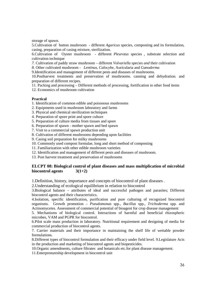storage of spawn.

5.Cultivation of button mushroom - different *Agaricus* species, composting and its formulation, casing, preparation of casing mixture, sterilization.

6.Cultivation of Oyster mushroom - different *Pleurotus* species , substrate selection and cultivation technique

*7.* Cultivation of paddy straw mushroom – different *Volvariella* species *and* their cultivation

*8.* Other cultivated mushroom - *Lentinus*, *Calocybe,* Auricularia and *Ganoderma* 

9.Identification and management of different pests and diseases of mushrooms.

10.Postharvest treatments and preservation of mushrooms. canning and dehydration. and preparation of different recipes.

11. Packing and processing – Different methods of processing, fortification in other food items

12. Economics of mushroom cultivation

#### **Practical**

1. Identification of common edible and poisonous mushrooms

- 2. Equipments used in mushroom laboratory and farms
- 3. Physical and chemical sterilization techniques
- 4. Preparation of spore print and spore culture
- 5. Preparation of culture media from tissues and spore
- 6. Preparation of spawn mother spawn and bed spawn
- 7. Visit to a commercial spawn production unit
- 8. Cultivation of different mushrooms depending upon facilities
- 9. Casing soil preparation for milky mushrooms
- 10. Commonly used compost formulae, long and short method of composting
- 11. Familiarization with other edible mushroom varieties
- 12. Identification and management of different pests and diseases of mushroom.
- 13. Post harvest treatment and preservation of mushrooms

#### **ELCPT 08: Biological control of plant diseases and mass multiplication of microbial biocontrol agents 3(1+2)**

1.Definition, history, importance and concepts of biocontrol of plant diseases .

2.Understanding of ecological equilibrium in relation to biocontrol

3.Biological balance – attributes of ideal and successful pathogen and parasites; Different biocontrol agents and their characteristics.

4.Isolation, specific identification, purification and pure culturing of recognized biocontrol organisms. Growth promotion – *Pseudomonas* spp., *Bacillus* spp., *Trichoderma* spp. and Actinomycetes. Assessment of commercial potential of bioagent for crop disease management

5. Mechanisms of biological control. Interactions of harmful and beneficial rhizospheric microbes, VAM and PGPR for biocontrol.

6.Pilot scale mass production in laboratory. Nutritional requirement and designing of media for commercial production of biocontrol agents.

7. Carrier materials and their importance in maintaining the shelf life of wettable powder formulations.

8.Different types of biocontrol formulation and their efficacy under field level. 9.Legislature Acts in the production and marketing of biocontrol agents and biopesticides.

10.Organic amendments, culture filtrates and botanicals etc.for plant disease management.

11.Enterprenureship development in biocontrol unit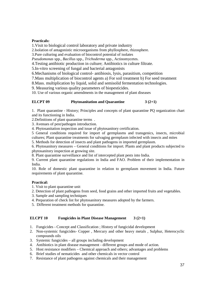#### **Practicals:**

1.Visit to biological control laboratory and private industry

2.Isolation of antagonistic microorganisms from phyllosphere, rhizosphere.

3.Pure culturing and evaluation of biocontrol potential of isolates

*Pseudomonas* spp., *Bacillus* spp., *Trichoderma* spp., Actinomycetes.

4.Testing antibiotic production in culture; Antibiotics in culture filtrate.

5.In-vitro screening of fungal and bacterial antagonists

6.Mechanisms of biological control- antibiosis, lysis, parasitism, competition

7.Mass multiplication of biocontrol agents a) For soil treatment b) For seed treatment

8.Mass. multiplication by liquid, solid and semisolid fermentation technologies.

9. Measuring various quality parameters of biopesticides.

10. Use of various organic amendments in the management of plant diseases

#### **ELCPT 09** Phytosanitation and Quarantine  $3(2+1)$

1. Plant quarantine - History; Principles and concepts of plant quarantine PQ organization chart and its functioning in India.

2.Definitions of plant quarantine terms .

3. Avenues of pest/pathogen introduction.

4. Phytosanitation inspection and issue of phytosanitory certification.

5 General conditions required for import of germplasms and transgenics, insects, microbial cultures; Plant quarantine treatments for salvaging germplasm infected with insects and mites

5. Methods for detection of insects and plant pathogens in imported germplasm.

6. Phytosanitory measures – General conditions for import. Plants and plant products subjected to phytosanitory inspection at growing site.

8. Plant quarantine surveillance and list of intercepted plant pests into India.

9. Current plant quarantine regulations in India and FAO. Problem of their implementation in India.

10. Role of domestic plant quarantine in relation to germplasm movement in India. Future requirements of plant quarantine.

#### **Practical:**

- 1. Visit to plant quarantine unit
- 2. Detection of plant pathogens from seed, food grains and other imported fruits and vegetables.
- 3. Sample and sampling techniques
- 4. Preparation of check list for phytosanitory measures adopted by the farmers.
- 5. Different treatment methods for quarantine.

#### **ELCPT 10 Fungicides in Plant Disease Management 3 (2+1)**

- 1. Fungicides Concept and Classification ; History of fungicidal development
- 2. Non-systemic fungicides- Copper , Mercury and other heavy metals , Sulphur, Heterocyclic compounds oils
- 3. Systemic fungicides all groups including development
- 4. Antibiotics in plant disease management different groups and mode of action.
- 5. Host resistance modifiers Chemical approach and others; advantages and problems
- 6. Brief studies of nematicides and other chemicals in vector control
- 7. Resistance of plant pathogens against chemicals and their management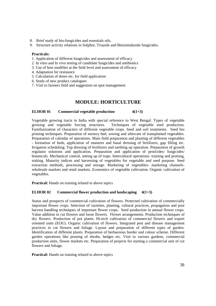- 8. Brief study of bio-fungicides and essentials oils.
- 9. Structure activity relations in Sulphur, Triazole and Benzimidazole fungicides.

#### **Practicals:**

- 1. Application of different fungicides and assessment of efficacy
- 2. In vitro and In vivo testing of candidate fungicides and antibiotics
- 3. Use of host modifies at the field level and assessment of efficacy
- 4. Adaptation for resistance
- 5. Calculation of doses etc. for field application
- 6. Study of new product catalogues
- 7. Visit to farmers field and suggestion on spot management

#### **MODULE: HORTICULTURE**

#### **ELHOR 01** Commercial vegetable production  $4(1+3)$

Vegetable growing tracts in India with special reference to West Bengal. Types of vegetable growing and vegetable forcing structures. Techniques of vegetable seed production. Familiarization of characters of different vegetable crops. Seed and soil treatments. Seed bio priming techniques. Preparation of nursery bed, sowing and aftercare of transplanted vegetables. Preparation of calendar of operations. Main field preparation and planting of different vegetables - formation of beds, application of manures and basal dressing of fertilizers, gap filling etc. Irrigation scheduling. Top dressing of fertilizers and earthing up operation. Preparation of growth regulator solutions and application. Preparation and application of pesticides/ fungicides/ botanicals. Mechanical control, setting up of traps. Intercultural operations- training and pruning, staking. Maturity indices and harvesting of vegetables for vegetable and seed purpose. Seed extraction methods, processing and storage. Marketing of vegetables- marketing channelswholesale markets and retail markets. Economics of vegetable cultivation. Organic cultivation of vegetables.

**Practical:** Hands on training related to above topics

#### **ELHOR 02 Commercial flower production and landscaping 4(1+3)**

Status and prospects of commercial cultivation of flowers. Protected cultivation of commercially important flower crops. Selection of varieties, planting, cultural practices, propagation and post harvest handling techniques of important flower crops. Seed production in annual flower crops. Value addition in cut flowers and loose flowers. Flower arrangements. Production techniques of dry flowers. Production of pot plants. Hi-tech cultivation of commercial flowers and export oriented units (EOU). Organic cultivation of flowers. Integrated pest and disease management practices in cut flowers and foliage. Layout and preparation of different types of garden. Identification of different plants. Preparation of herbaceous border and colour scheme. Different garden operations like pruning of shrubs, hedges etc. Visit to various gardens, commercial production units, flower markets etc. Preparation of projects for starting a commercial unit of cut flowers and foliage.

**Practical:** Hands on training related to above topics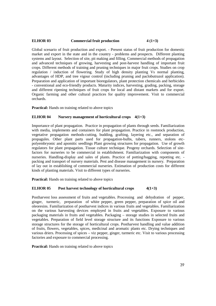#### **ELHOR 03** Commercial fruit production 4 (1+3)

Global scenario of fruit production and export. - Present status of fruit production for domestic market and export in the state and in the country - problems and prospects. Different planting systems and layout. Selection of site, pit making and filling. Commercial methods of propagation and advanced techniques of growing, harvesting and post-harvest handling of important fruit crops. Different methods of training and pruning techniques in major fruit crops. Studies on crop regulation / induction of flowering. Study of high density planting Vs normal planting, advantages of HDP, and tree vigour control (including pruning and paclobutrazol application). Preparation and application of important bioregulators, plant protection chemicals and herbicides - conventional and eco-friendly products. Maturity indices, harvesting, grading, packing, storage and different ripening techniques of fruit crops for local and distant markets and for export. Organic farming and other cultural practices for quality improvement. Visit to commercial orchards.

**Practical:** Hands on training related to above topics

#### **ELHOR 04 Nursery management of horticultural crops 4(1+3)**

Importance of plant propagation. Practice in propagation of plants through seeds. Familiarization with media, implements and containers for plant propagation. Practice in rootstock production, vegetative propagation methods-cutting, budding, grafting, layering etc., and separation of propagules. Other plant parts used for propagation-bulbs, tubers, runners, stolons etcpolyembryonic and apomitic seedlings Plant growing structures for propagation. Use of growth regulators for plant propagation. Tissue culture technique. Progeny orchards. Selection of sitefactors for nurseries to be commercial in establishment. Familiarization with components of nurseries. Handling-display and sales of plants. Practice of potting/bagging, repotting etc. packing and transport of nursery materials. Pest and disease management in nursery. Preparation of lay out in establishing of commercial nurseries. Estimation of production costs for different kinds of planting materials. Visit to different types of nurseries.

**Practical:** Hands on training related to above topics

#### **ELHOR 05** Post harvest technology of horticultural crops  $4(1+3)$

Postharvest loss assessment of fruits and vegetables. Processing and dehydration of pepper, ginger, turmeric, preparation of white pepper, green pepper, preparation of spice oil and oleoresins. Familiarization of postharvest indices in various fruits and vegetables. Familiarization on the various harvesting devices employed in fruits and vegetables. Exposure to various packaging materials in fruits and vegetables. Packaging – storage studies in selected fruits and vegetables. Preparation of field level storage structure and its functions Exposure to various storage structures for the storage of horticultural crops. Postharvest handling and value addition of fruits, flowers, vegetables, spices, medicinal and aromatic plants etc. Drying techniques and various driers. Processing of spices – viz pepper, ginger, turmeric etc. Visit to various processing factories and exposure to commercial processing.

**Practical:** Hands on training related to above topics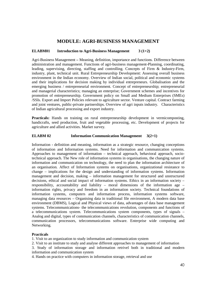### **MODULE: AGRI-BUSINESS MANAGEMENT**

#### **ELABM01 Introduction to Agri-Business Management 3 (1+2)**

Agri-Business Management **–** Meaning, definition, importance and functions. Difference between administration and management. Functions of agri-business management-Planning, coordinating, leading, supervising, directing, staffing and controlling. Concepts of Firm & Industry-Firm, industry, plant, technical unit. Rural Entrepreneurship Development: Assessing overall business environment in the Indian economy. Overview of Indian social, political and economic systems and their implications for decision making by individual entrepreneurs. Globalisation and the emerging business / entrepreneurial environment. Concept of entrepreneurship; entrepreneurial and managerial characteristics; managing an enterprise; Government schemes and incentives for promotion of entrepreneurship. Government policy on Small and Medium Enterprises (SMEs) /SSIs. Export and Import Policies relevant to agriculture sector. Venture capital. Contract farming and joint ventures, public-private partnerships. Overview of agri inputs industry. Characteristics of Indian agricultural processing and export industry.

**Practicals:** Hands on training on rural entrepreneurship development in vermicomposting, handicrafts, seed production, fruit and vegetable processing, etc. Development of projects for agriculture and allied activities. Market survey.

#### **ELABM 02 Information Communication Management 3(2+1)**

Information **-** definition and meaning, information as a strategic resource, changing conceptions of information and Information systems. Need for information and communication systems. Approaches to management of information – technical approach, behavioral approach, sociotechnical approach. The New role of information systems in organisations, the changing nature of information and communication on technology, the need to plan the information architecture of an organisation. Affect of Information systems on organisations, organizational resistance to change – implications for the design and understanding of information systems. Information management and decision, making – information management for structured and unstructured decisions, ethical and social impact of information systems. Ethics in an information society – responsibility, accountability and liability – moral dimensions of the information age – information rights, privacy and freedom in an information society. Technical foundations of information systems, computers and information process, information systems software, managing data resources – Organising data in traditional file environment, A modern data base environment (DBMS), Logical and Physical views of data, advantages of data base management systems. Telecommunications- the telecommunications revolution, components and functions of a telecommunications system. Telecommunications system components, types of signals – Analog and digital, types of communication channels, characteristics of communication channels, communication processors, telecommunications software. Enterprise wide computing and Networking.

#### **Practicals**

1. Visit to an organization to study information and communication system

2. Visit to an institute to study and analyse different approaches to management of information

3. Study of information storage and information retrivel both in traditional and modern information and communication system

4. Hands on practice with computers in information storage, retrieval and use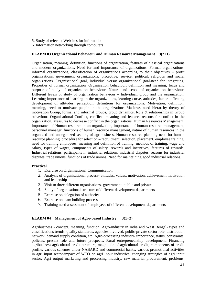- 5. Study of relevant Websites for information
- 6. Information networking through computers

#### **ELABM 03 Organizational Behaviour and Human Resource Management 3(2+1)**

Organisation, meaning, definition, functions of organization, features of classical organizations and modern organizations. Need for and importance of organizations. Formal organizations, informal organizations, classification of organizations according to their objectives – profit organizations, government organizations, protective, service, political, religious and social organizations. Organisational goal, Individual versus organizational goal-need for integrating. Properties of formal organization. Organisation behaviour, definition and meaning, focus and purpose of study of organization behaviour. Nature and scope of organization behaviour. Different levels of study of organization behaviour – Individual, group and the organization. Learning-importance of learning in the organizations, learning curve, attitudes, factors affecting development of attitudes, perception, definitions for organizations. Motivation, definition, meaning, need to motivate people in the organizations Maslows need hierarchy theory of motivation Group, formal and informal groups, group dynamics, Role & relationships in Group behaviour. Organisational Conflict, conflict –meaning and features reasons for conflict in the organization. Measures to decrease conflict in the organizations. Human Resources Management, importance of Human resource in an organization, importance of human resource management, personnel manager, functions of human resource management, nature of human resources in the organized and unorganized sectors, of agribusiness. Human resource planning need for human resource planning, procedure for selection – recruitment, selection, placement, employee training, need for training employees, meaning and definition of training, methods of training, wage and salary, types of wages, components of salary, rewards and incentives, features of rewards. Industrial relations, participants in industrial relations, industrial disputes, reasons for industrial disputes, trade unions, functions of trade unions. Need for maintaining good industrial relations.

#### **Practical**

- 1. Exercise on Organisational Communication
- 2. Analysis of organisational process- attitudes, values, motivation, achievement motivation and leadership
- 3. Visit to three different organisations- government, public and private
- 4. Study of organisational structure of different development departments
- 5. Exercise on delegation of authority
- 6. Exercise on team building process
- 7. Training need assessment of employees of different development departments

#### **ELABM 04 Management of Agro-based Industry 3(1+2)**

Agribusiness - concept, meaning, function. Agro-industry in India and West Bengal- types and classifications trends, quality standards, agencies involved, public-private sector role, distribution network, demand supply condition, etc. Agro-processing industry- importance, status, constraints, policies, present role and future prospects. Rural entrepreneurship development. Financing agribusiness-agricultural credit structure, magnitude of agricultural credit, components of credit profile, various schemes under NABARD and commercial banks, various promotional activities in agri input sector-impact of WTO on agri input industries, changing strategies of agri input sector. Agri output marketing and processing industry, raw material procurement, problems,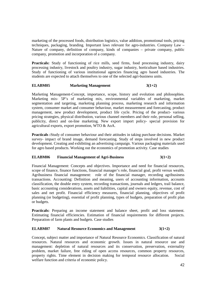marketing of the processed foods, distribution logistics, value addition, promotional tools, pricing techniques, packaging, branding. Important laws relevant for agro-industries. Company Law – Nature of company, definition of company, kinds of companies – private company, public company, promotion and incorporation of a company.

**Practicals:** Study of functioning of rice mills, seed firms, food processing industry, dairy processing industry, livestock and poultry industry, sugar industry, horticulture based industries. Study of functioning of various institutional agencies financing agro based industries. The students are expected to attach themselves to one of the selected agri-business units.

#### **ELABM05** Marketing Management 3(1+2)

Marketing Management-Concept, importance, scope, history and evolution and philosophies. Marketing mix- 5P's of marketing mix, environmental variables of marketing, market segmentation and targeting, marketing planning process, marketing research and information system, consumer market and consumer behaviour, market measurement and forecasting, product management, new product development, product life cycle. Pricing of the product- various pricing strategies, physical distribution, various channel members and their role, personal selling, publicity, direct and on-line marketing. New export import policy- special provision for agricultural exports, export promotion, WTO & AoA.

**Practicals :**Study of consumer behaviour and their attitudes in taking purchase decisions. Market survey- impact of brand image, demand forecasting. Study of steps involved in new product development. Creating and exhibiting an advertising campaign. Various packaging materials used for agro based products. Working out the economics of promotion activity. Case studies

#### **ELABM06 Financial Management of Agri-Business 3(1+2)**

Financial Management: Concepts and objectives. Importance and need for financial resources, scope of finance, finance functions, financial manager's role, financial goal, profit versus wealth. Agribusiness financial management: role of the financial manager, recording agribusiness transactions. Accounting: Definition and meaning, users of accounting information, accounts classification, the double entry system, recording transactions, journals and ledgers, trail balance, basic accounting considerations, assets and liabilities, capital and owners equity, revenue, cost of sales and net profit. Financial efficiency measures, financial planning, objectives of profit planning (or budgeting), essential of profit planning, types of budgets, preparation of profit plan or budgets.

Practicals: Preparing an income statement and balance sheet, profit and loss statement. Estimating financial efficiencies. Estimation of financial requirements for different projects. Preparation of farm plants and budgets. Case studies

#### **ELABM07 Natural Resource Economics and Management 3(1+2)**

Concept, subject matter and importance of Natural Resource Economics. Classification of natural resources. Natural resources and economic growth. Issues in natural resource use and management: depletion of natural resources and its conservation, preservation, externality problem, market failure, free riding of open access resources, common property resources, property rights. Time element in decision making for temporal resource allocation. Social welfare function and criteria of economic policy.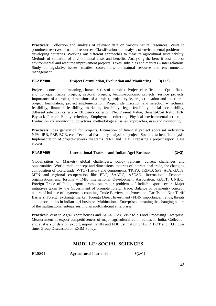**Practicals:** Collection and analysis of relevant data on various natural resources. Visits to prominent reserves of natural resources. Classification and analysis of environmental problems in developing countries. Working out different approaches to measure agricultural sustainability. Methods of valuation of environmental costs and benefits. Analyzing the benefit cost ratio of environmental and resource improvement projects. Taxes, subsidies and markets – inter relations. Study of legislative issues, treaties, conventions on natural resource and environmental management.

#### **ELABM08 Project Formulation, Evaluation and Monitoring 3(1+2)**

Project – concept and meaning, characteristics of a project. Project classification – Quantifiable and non-quantifiable projects, sectoral projects, techno-economic projects, service projects. Importance of a project, dimensions of a project, project cycle, project location and its criteria, project formulation, project implementation. Project identification and selection – technical feasibility, financial feasibility, marketing feasibility, legal feasibility, social acceptability; different selection criteria – Efficiency criterion: Net Present Value, Benefit-Cost Ratio, IRR, Payback Period; Equity criterion, Employment criterion, Physical environmental criterion. Evaluation and monitoring: objectives, methodological issues, approaches, uses and monitoring.

**Practicals:** Idea generation for projects. Estimation of financial project appraisal indicators-NPV, IRR, PBP, BCR, etc. Technical feasibility analysis of project. Social-cost benefit analysis. Implementation of project-network diagrams PERT and CPM. Preparing a project report. Case studies.

#### **ELABM09** International Trade and Indian Agri-Business 4 (2+2)

Globalization of Markets- global challengers, policy reforms, current challenges and opportunities. World trade- concept and dimensions, theories of international trade, the changing composition of world trade. WTO- History and components, TRIPS, TRIMS, SPS, AoA, GATS, MFN and regional co-operation like EEC, SAARC, ASEAN. International Economic organizations and forums – IMF, International Development Association, GATT, UNIDO. Foreign Trade of India, export promotion, major problems of India's export sector. Major initiatives taken by the Government of promote foreign trade. Balance of payments- concept, nature of balance of payments accounting. Trade Barriers and Protection- Tariffs and Non Tariff Barriers. Foreign exchange market. Foreign Direct Investment (FDI)- importance, trends, threats and opportunities in Indian agri-business. Multinational Enterprises- meaning the changing nature of the multinational enterprises, Indian multinational enterprises.

**Practical:** Visit to Agri-Export houses and AEZs/SEZs. Visit to a Food Processing Enterprise. Measurement of export competitiveness of major agricultural commodities in India. Collection and analysis of data on export, import, tariffs and FDI. Estimation of BOP, BOT and TOT over time. Group Discussion on EXIM Policy.

### **MODULE: SOCIAL SCIENCES**

| ELSS01 | <b>Agricultural Journalism</b> | $3(2+1)$ |
|--------|--------------------------------|----------|
|--------|--------------------------------|----------|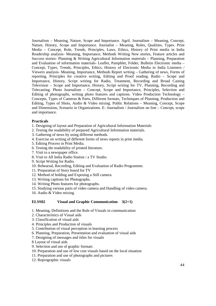Journalism – Meaning, Nature, Scope and Importance. Agril. Journalism – Meaning, Concept, Nature, History, Scope and Importance. Journalist – Meaning, Roles, Qualities, Types. Print Media – Concept, Role, Trends, Principles, Laws, Ethics, History of Print media in India Readership analysis- Meaning, Importance, Methods Writing New stories, Feature articles and Success stories- Planning & Writing Agricultural Information materials – Planning, Preparation and Evaluation of information materials- Leaflet, Pamphlet, Folder, Bulletin Electronic media – Concept, Types, Trends, Principles, Ethics, History of Electronic Media in India Listeners / Viewers analysis- Meaning, Importance, Methods Report writing – Gathering of news, Forms of reporting, Principles for creative writing, Editing and Proof reading. Radio – Scope and Importance, History, Script writing for Radio, Treatment, Recording and Broad Casting Television – Scope and Importance, History, Script writing for TV, Planning, Recording and Telecasting. Photo Journalism – Concept, Scope and Importance, Principles, Selection and Editing of photographs, writing photo features and captions. Video Production Technology – Concepts, Types of Cameras & Parts, Different formats, Techniques of Planning, Production and Editing, Types of Shots, Audio & Video mixing. Public Relations – Meaning, Concept, Scope and Dimensions, Scenario in Organizations. E- Journalism / Journalism on line – Concept, scope and importance.

#### **Practicals**

- 1. Designing of layout and Preparation of Agricultural Information Materials
- 2. Testing the readability of prepared Agricultural Information materials.
- 3. Gathering of news by using different methods.
- 4. Exercise on writing of different forms of news reports in print media.
- 5. Editing Process in Print Media.
- 6. Testing the readability of printed literature.
- 7. Visit to a newspaper office.
- 8. Visit to All India Radio Station / a TV Studio.
- 9. Script Writing for Radio.
- 10. Rehearsal, Recording, Editing and Evaluation of Radio Programme.
- 11. Preparation of Story board for TV
- 12. Method of holding and Exposing a Still camera.
- 13. Writing captions for Photographs.
- 14. Writing Photo features for photographs.
- 15. Studying various parts of video camera and Handling of video camera.
- 16. Audio & Video mixing.

#### **ELSS02 Visual and Graphic Communication 3(2+1)**

- 1. Meaning, Definitions and the Role of Visuals in communication
- 2. Characteristics of Visual aids
- 3. Classification of visual aids
- 4. Principles and Production of visuals
- 5. Contribution of visual perception in learning process
- 6. Planning, Preparation, Presentation and evaluation of visual aids
- 7. Designing of messages and titles for visuals
- 8 Layout of visual aids
- 9. Selection and use of graphic formats
- 10. Preparation and use of low cost visuals based on the local situation
- 11. Preparation and use of photographs and pictures
- 12. Reprographic visuals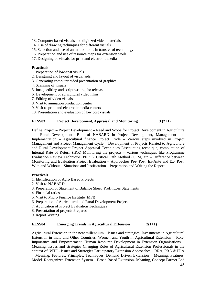- 13. Computer based visuals and digitized video materials
- 14. Use of drawing techniques for different visuals
- 15. Selection and use of animation tools in transfer of technology
- 16. Preparation and use of resource maps for extension work
- 17. Designing of visuals for print and electronic media

#### **Practicals**

- 1. Preparation of low-cost visuals
- 2. Designing and layout of visual aids
- 3. Generating computer aided presentation of graphics
- 4. Scanning of visuals
- 5. Image editing and script writing for telecasts
- 6. Development of agricultural video films
- 7. Editing of video visuals
- 8. Visit to animation production center
- 9. Visit to print and electronic media centers
- 10. Presentation and evaluation of low cost visuals

#### **ELSS03 Project Development, Appraisal and Monitoring 3 (2+1)**

Define Project – Project Development – Need and Scope for Project Development in Agriculture and Rural Development –Role of NABARD in Project Development, Management and Implementation – Agricultural finance Project Cycle – Various steps involved in Project Management and Project Management Cycle – Development of Projects Related to Agriculture and Rural Development Project Appraisal Techniques Discounting technique, computation of Internal Rate of Return (IRR) Monitoring the projects – various techniques like Programme Evaluation Review Technique (PERT), Critical Path Method (CPM) etc – Difference between Monitoring and Evaluation Project Evaluation – Approaches Pre- Post, Ex-Ante and Ex- Post, With and Without – Situations and Justification – Preparation and Writing the Report

#### **Practicals**

- 1. Identification of Agro Based Projects
- 2. Visit to NABARD
- 3. Preparation of Statement of Balance Sheet, Profit Loss Statements
- 4. Financial ratios
- 5. Visit to Micro Finance Institute (MFI)
- 6. Preparation of Agricultural and Rural Development Projects
- 7. Application of Project Evaluation Techniques
- 8. Presentation of projects Prepared
- 9. Report Writing

#### **ELSS04 Emerging Trends in Agricultural Extension 2(1+1)**

Agricultural Extension in the new millennium – Issues and strategies. Investments in Agricultural Extension in India and Other Countries. Women and Youth in Agricultural Extension – Role, Importance and Empowerment. Human Resource Development in Extension Organisations – Meaning, Issues and strategies Changing Roles of Agricultural Extension Professionals in the context of WTO- Issues and Strategies Participatory Extension Approaches – RRA, PRA & PLA – Meaning, Features, Principles, Techniques. Demand Driven Extension – Meaning, Features, Model. Reorganized Extension System – Broad Based Extension- Meaning, Concept Farmer Led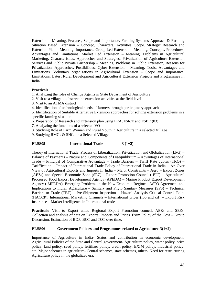Extension – Meaning, Features, Scope and Importance. Farming Systems Approach & Farming Situation Based Extension – Concept, Characters, Activities, Scope. Strategic Research and Extension Plan – Meaning, Importance. Group Led Extension – Meaning, Concepts, Procedures, Advantages and Limitations. Market Led Extension – Meaning, Problems in Agricultural Marketing, Characteristics, Approaches and Strategies. Privatization of Agriculture Extension Services and Public Private Partnership – Meaning, Problems in Public Extension, Reasons for Privatization, Approaches, Possibilities. Cyber Extension – Meaning, Tools, Advantages and Limitations. Voluntary organizations in Agricultural Extension – Scope and Importance, Limitations. Latest Rural Development and Agricultural Extension Projects and Programmes in India.

#### **Practicals**

1. Analyzing the roles of Change Agents in State Department of Agriculture

- 2. Visit to a village to observe the extension activities at the field level
- 3. Visit to an ATMA district

4. Identification of technological needs of farmers through participatory approach

5. Identification of Suitable Alternative Extension approaches for solving extension problems in a specific farming situation

6. Preparation of Research and Extension plan using PRA, FSR/E and FSBE (03)

- 7. Analyzing the functions of a selected VO
- 8. Studying Role of Farm Women and Rural Youth in Agriculture in a selected Village

9. Studying RMGs & SHGs in a Selected Village

#### **ELSS05 International Trade 3 (1+2)**

Theory of International Trade, Process of Liberalization, Privatization and Globalization (LPG) – Balance of Payments – Nature and Components of Disequilibrium – Advantages of International Trade – Principal of Comparative Advantage – Trade Barriers – Tariff Rate quotas (TRQ) – Tariffication – Impact of International Trade Policy of International Trade in India – An Over View of Agricultural Exports and Imports In India – Major Constraints – Agro – Export Zones (AEZs) and Special Economic Zone (SEZ) – Export Promotion Council ( EIC) – Agricultural Processed Food Export Development Agency (APEDA) – Marine Product Export Development Agency ( MPEDA). Emerging Problems in the New Economic Regime – WTO Agreement and Implications to Indian Agriculture – Sanitary and Phyto Sanitary Measures (SPS) – Technical Barriers to Trade (TBT) – Pre-Shipment Inspection – Hazard Analysis Critical Control Point (HACCP). International Marketing Channels – International prices (fob and cif) – Export Risk Insurance – Market Intelligence in International trade

Practicals: Visit to Export units, Regional Export Promotion council, AEZs and SEZs. Collection and analysis of data on Exports, Imports and Prices. Exim Policy of the Govt – Group Discussion. Estimation of BOP, BOT and TOT over time.

#### **ELSS06 Government Policies and Programmes related to Agriculture 3(1+2)**

Importance of Agriculture in India- Status and contribution in economic development. Agricultural Policies of the State and Central government- Agriculture policy, water policy, price policy, land policy, seed policy, fertilizer policy, credit policy, EXIM policy, industrial policy, etc. Major schemes in agriculture- Central schemes, state schemes, others. Need for restructuring Agriculture policy in the globalized era.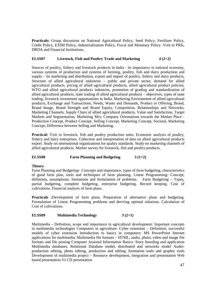**Practicals:** Group discussion on National Agricultural Policy, Seed Policy, Fertilizer Policy, Credit Policy, EXIM Policy, Industrialization Policy, Fiscal and Monetary Policy. Visit to PRIs, DRDA and Financial Institutions.

#### **ELSS07** Livestock, Fish and Poultry Trade and Marketing  $4(2+2)$

Sources of poultry, fishery and livestock products in India - its importance in national economy, various systems of production and systems of farming, poultry, fish and dairy production and supply – its marketing and distribution, export and import of poultry, fishery and dairy products, Structure of allied agricultural industries – public and private sector, demand for allied agricultural products, pricing of allied agricultural products, allied agricultural product policies, WTO and allied agricultural products industries, promotion of grading and standardization of allied agricultural products, state trading of allied agricultural products – objectives, types of state trading, livestock investment opportunities in India. Marketing Environment of allied agricultural products, Exchange and Transactions, Needs, Wants and Demands, Product or Offering, Brand, Brand Image, Brand Strength and Brand Equity, Competition, Relationships and Networks, Marketing Channels, Supply Chain of allied agricultural products, Value and Satisfaction, Target Markets and Segmentation, Marketing Mix; Company Orientations towards the Market Place - Production Concept, Product Concept, Selling Concept, Marketing Concept, Societal, Marketing Concept, Difference between Selling and Marketing.

Practical: Visit to livestock, fish and poultry production units. Economic analysis of poultry, fishery and dairy enterprises. Collection and interpretation of data on allied agricultural products export. Study on international organizations for quality standards. Study on marketing channels of allied agricultural products. Market survey for livestock, fish and poultry products.

#### **ELSS08 Farm Planning and Budgeting 3 (1+2)**

#### **Theory**

Farm Planning and Budgeting– Concepts and importance, types of farm budgeting, characteristics of good farm plan, tools and techniques of farm planning. Linear Programming- Concept, definition, assumptions, limitations and formulation of problems. Farm Budgeting – Types, partial budgeting, complete budgeting, enterprise budgeting. Record keeping. Cost of cultivations. Financial analysis of farm plans.

**Practicals :**Development of farm plans. Preparation of alternative plans and budgeting. Formulation of Linear Programming problems and deriving optimal solutions. Calculation of Cost of cultivations.

#### **ELSS09 Multimedia Technology 3 (2+1)**

Multimedia – Definition, scope and importance in agricultural development: Important concepts in multimedia technologies Computers in agriculture: Cyber extension – Definition, successful models of cyber extension Introduction to basics in computers: MS PowerPoint Internet applications for multimedia: Multimedia file formats – HTML, audio, photo, video and image file formats and file posting Computer Assisted Information Basics: Story boarding and application Multimedia databases, Relational Database model, distributed and networks model Audioproduction editing, photo editing, production and editing Animation tools and graphic tools Development of multimedia project – Resource development, integration and presentation Web based presentation Vs CD presentation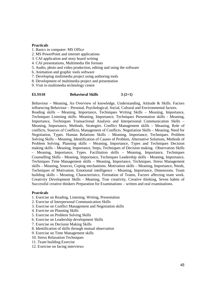#### **Practicals**

- 1. Basics in computer: MS Office
- 2. MS PowerPoint and internet applications
- 3. CAI application and story board writing
- 4. CAI presentations, Multimedia file formats
- 5. Audio, photo and video production, editing and using the software
- 6. Animation and graphic tools software
- 7. Developing multimedia project using authoring tools
- 8. Development of multimedia project and presentation
- 9. Visit to multimedia technology centre

#### **ELSS10 Behavioral Skills 3 (2+1)**

Behaviour – Meaning, An Overview of knowledge, Understanding, Attitude & Skills. Factors influencing Behaviour – Personal, Psychological, Social, Cultural and Environmental factors. Reading skills – Meaning, Importance, Techniques Writing Skills – Meaning, Importance, Techniques Listening skills- Meaning, Importance, Techniques Presentation skills - Meaning, Importance, Techniques Transactional Analysis and Interpersonal Communication Skills – Meaning, Importance, Methods, Strategies. Conflict Management skills – Meaning, Role of conflicts, Sources of Conflicts, Management of Conflicts. Negotiation Skills – Meaning, Need for Negotiation, Types. Human Relations Skills – Meaning, Importance, Techniques. Problem Solving Skills – Meaning, Identification of Causes of Problem, Alternative Solutions, Methods of Problem Solving. Planning skills – Meaning, Importance, Types and Techniques Decision making skills – Meaning, Importance, Steps, Techniques of Decision making. Observation Skills – Meaning, Importance, Types. Facilitation skills – Meaning, Importance, Techniques Counselling Skills - Meaning, Importance, Techniques Leadership skills - Meaning, Importance, Techniques Time Management skills – Meaning, Importance, Techniques. Stress Management skills – Meaning, Sources, Coping mechanisms. Motivation skills – Meaning, Importance, Needs, Techniques of Motivation. Emotional intelligence – Meaning, Importance, Dimensions. Team building skills – Meaning, Characteristics, Formation of Teams, Factors affecting team work. Creativity Development Skills - Meaning, True creativity, Creative thinking, Seven habits of Successful creative thinkers Preparation for Examinations – written and oral examinations.

#### **Practicals**

- 1. Exercise on Reading, Listening, Writing, Presentation
- 2. Exercise of Interpersonal Communication Skills
- 3. Exercise on Conflict Management and Negotiation skills
- 4. Exercise on Planning Skills
- 5. Exercise on Problem Solving Skills
- 6. Exercise on Leadership development Skills
- 7. Exercise on Decision Making Skills
- 8. Identification of skills through mutual observation
- 9. Exercise on Time Management skills
- 10. Stress Relaxation Techniques
- 11. Team building Exercise
- 12. Exercise on facing interviews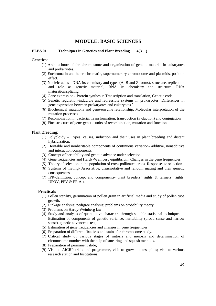#### **MODULE: BASIC SCIENCES**

#### **ELBS 01 Techniques in Genetics and Plant Breeding 4(3+1)**

Genetics:

- (1) Architechture of the chromosome and organization of genetic material in eukaryotes and prokaryotes.
- (2) Euchromatin and heterochromatin, supernumerary chromosome and plasmids, position effect.
- (3) Nucleic acids DNA its chemistry and types (A, B and Z forms), structure, replication and role as genetic material, RNA its chemistry and structure. RNA maturation/splicing
- (4) Gene expression- Protein synthesis: Transcription and translation, Genetic code,
- (5) Genetic regulation-inducible and repressible systems in prokaryotes. Differences in gene expression between prokaryotes and eukaryotes `
- (6) Biochemical mutations and gene-enzyme relationship, Molecular interpretation of the mutation processes.
- (7) Recombination in bacteria; Transformation, transduction (F-duction) and conjugation
- (8) Fine structure of gene-genetic units of recombination, mutation and function.

Plant Breeding:

- (1) Polyploidy Types, causes, induction and their uses in plant breeding and distant hybridization.
- (2) Heritable and nonheritable components of continuous variation- additive, nonadditive and interaction components.
- (3) Concept of heritability and genetic advance under selection.
- (4) Gene frequencies and Hardy-Weinberg equilibrium. Changes in the gene frequencies
- (5) Theory of selection in the population of cross pollinated crops. Responses to selection.
- (6) Systems of mating- Assortative, disassortative and random mating and their genetic consequences.
- (7) IPR-definition, concept and components- plant breeders' rights & farmers' rights, UPOV, PPV & FR Act.

#### **Practicals**

- (1) Pollen sterility, germination of pollen grain in artificial media and study of pollen tube growth.
- (2) Linkage analysis; pedigree analysis; problems on probability theory
- (3) Problems on Hardy-Weinberg law
- (4) Study and analysis of quantitative characters through suitable statistical techniques. Estimation of components of genetic variance, heritability (broad sense and narrow sense), genetic advance; t- test,
- (5) Estimation of gene frequencies and changes in gene frequencies
- (6) Preparation of different fixatives and stains for chromosome study.
- (7) Critical study of various stages of mitosis and meiosis and determination of chromosome number with the help of smearing and squash methods.
- (8) Preparation of permanent slide;
- (9) Visit to AICRP trials and programme, visit to grow out test plots; visit to various research station and Institutions.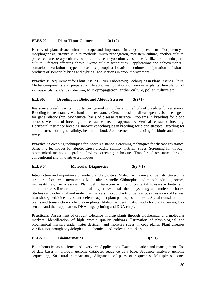#### **ELBS 02** Plant Tissue Culture  $3(1+2)$

History of plant tissue culture – scope and importance in crop improvement –Totipotency – morphogenesis, *in-vitro* culture methods, micro propagation, meristem culture, another culture, pollen culture, ovary culture, ovule culture, embryo culture, test tube fertilization – endosperm culture – factors effecting above *in-vitro* culture techniques – applications and achievements – somaclonal variation – types – reasons; protoplast isolation – culture manipulation – fusion – products of somatic hybrids and cybrids –applications in crop improvement –

**Practicals:** Requirement for Plant Tissue Culture Laboratory; Techniques in Plant Tissue Culture Media components and preparation; Aseptic manipulations of various explants; Inoculation of various explants; Callus induction; Micropropagation, anther culture, pollen culture etc.

#### **ELBS03 Breeding for Biotic and Abiotic Stresses 3(2+1)**

Resistance breeding – its importance- general principles and methods of breeding for resistance. Breeding for resistance. Mechanism of resistance. Genetic basis of disease/pest resistance – gene for gene relationship, biochemical basis of disease resistance. Problems in breeding for biotic stresses Methods of breeding for resistance –recent approaches. Vertical resistance breeding. Horizontal resistance breeding Innovative techniques in breeding for biotic stresses. Breeding for abiotic stress –drought, salinity, heat cold flood. Achievements in breeding for biotic and abiotic stress

**Practical:** Screening techniques for insect resistance. Screening techniques for disease resistance. Screening techniques for abiotic stress drought, salinity, nutrient stress. Screening for through biochemical methods – proline. Invitro screening techniques Transfer of resistance through conventional and innovative techniques

#### **ELBS 04** Molecular Diagnostics  $3(2+1)$

Introduction and importance of molecular diagnostics. Molecular make-up of cell structure-Ultra structure of cell wall membranes. Molecular organelle- Chloroplast and mitochondrial genomes, microsatillites, micro assays. Plant cell interaction with environmental stresses – biotic and abiotic stresses like drought, cold, salinity, heavy metal- their physiology and molecular bases. Studies on biochemical and molecular markers in crop plants under various stresses – cold stress, heat shock, herbicide stress, and defense against plant pathogens and pests. Signal transduction in plants and transduction molecules in plants. Molecular identification tools for plant diseases, biosensors and their application. DNA fingerprinting and DNA chips.

**Practicals:** Assessment of drought tolerance in crop plants through biochemical and molecular markers. Identification of high protein quality cultivars. Estimation of physiological and biochemical markers under water deficient and moisture stress in crop plants. Plant diseases verification through physiological, biochemical and molecular markers.

#### **ELBS 05 Bioinformatics 3(2+1)**

Bioinformatics as a science and overview. Applications. Data application and management. Use of data bases in biology; genome database, sequence data base. Sequence analysis- genome sequencing, Structural comparisons, Alignment of pairs of sequences, Multiple sequence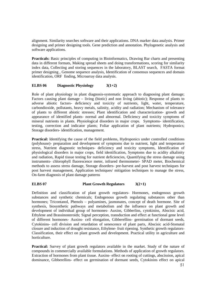alignment. Similarity searches software and their applications. DNA marker data analysis. Primer designing and primer designing tools. Gene prediction and annotation. Phylogenetic analysis and software applications.

**Practicals:** Basic principles of computing in Bioinformatics, Drawing Bar charts and presenting data in different formats, Making spread sheets and doing transformations, scoring for similarity index data, Collecting and storing sequences in the laboratory, BLAST search, FASTA format primer designing , Genome sequence analysis, Identification of consensus sequences and domain identification, ORF finding, Microarray data analysis.

#### **ELBS 06 Diagnostic Physiology 3(1+2)**

Role of plant physiology in plant diagnosis-systematic approach to diagnosing plant damage; Factors causing plant damage – living (biotic) and non living (abiotic); Response of plants to adverse abiotic factors- deficiency and toxicity of nutrients, light, water, temperature, carbondioxide, pollutants, heavy metals, salinity, acidity and radiation; Mechanism of tolerance of plants to different abiotic stresses; Plant identification and characterization- growth and appearance of identified plants- normal and abnormal. Deficiency and toxicity symptoms of mineral nutrients in plants. Physiological disorders in major crops. Symptoms- identification, testing, correction and indicator plants; Foliar application of plant nutrients; Hydroponics; Storage disorders- identification, management.

Practical: Identifying the cause of the field problems, Hydroponics under controlled conditions (polyhouse)- preparation and development of symptoms due to nutrient, light and temperature stress, Nutrient diagnostic techniques- deficiency and toxicity symptoms, Identification of physiological disorders in major crops, field identification, Symptoms due to acidity alkalinity and radiation, Rapid tissue testing for nutrient deficiencies, Quantifying the stress damage using instruments- chlorophyll fluorescence meter, infrared thermometer- SPAD meter, Biochemical methods to assess stress damage, Storage disorders- pre-harvest and post harvest techniques for post harvest management, Application techniques/ mitigation techniques to manage the stress, On-farm diagnosis of plant damage patterns

#### **ELBS 07** Plant Growth Regulators  $3(2+1)$

Definition and classification of plant growth regulators- Hormones, endogenous growth substances and synthetic chemicals; Endogenous growth regulating substances other than hormones; Tricontanol, Phenols – polyamines, jasmonates, concept of death hormone. Site of synthesis, biosynthetic pathways and metabolism and the influence on plant growth and development of individual group of hormones- Auxins, Gibberlins, cytokinins, Abscisic acid, Ethylene and Brassinosteroids; Signal perception, transduction and effect at functional gene level of different hormones- Auxins- cell elongation, Gibberellins- germination of dormant seeds, Cytokinins- cell division and retardation of senescence of plant parts, Abscisic acid-Stomatal closure and induction of drought resistance, Ethylene- fruit ripening. Synthetic growth regulators-Classification, their effect on plant growth and development. Practical utility in agriculture and horticulture.

**Practical:** Survey of plant growth regulators available in the market. Study of the nature of compounds in commercially available formulations. Methods of application of growth regulators. Extraction of hormones from plant tissue. Auxins- effect on rooting of cuttings, abscission, apical dominance, Gibberellins- effect on germination of dormant seeds, Cytokinins effect on apical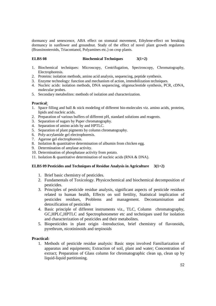dormancy and senescence, ABA effect on stomatal movement, Ethylene-effect on breaking dormancy in sunflower and groundnut. Study of the effect of novel plant growth regulators (Brassinosteroids, Triacontanol, Polyamines etc.) on crop plants.

#### **ELBS 08 Biochemical Techniques 3(1+2)**

- 1. Biochemical techniques: Microscopy, Centrifugation, Spectroscopy, Chromatography, Electrophoresis.
- 2. Proteins: isolation methods, amino acid analysis, sequencing, peptide synthesis.
- 3. Enzyme technology: function and mechanism of action, immobilization techniques.
- 4. Nucleic acids: isolation methods, DNA sequencing, oligonucleotide synthesis, PCR, cDNA, molecular probes.
- 5. Secondary metabolites: methods of isolation and characterization.

#### **Practical**:

- 1. Space filling and ball & stick modeling of different bio-molecules viz. amino acids, proteins, lipids and nucleic acids.
- 2. Preparation of various buffers of different pH, standard solutions and reagents.
- 3. Separation of sugars by Paper chromatography.
- 4. Separation of amino acids by and HPTLC.
- 5. Separation of plant pigments by column chromatography.
- 6. Poly-acrylamide gel electrophoresis.
- 7. Agarose gel electrophoresis.
- 8. Isolation & quantitative determination of albumin from chicken egg.
- 9. Determination of amylase activity.
- 10. Determination of phosphatase activity from potato.
- 11. Isolation & quantitative determination of nucleic acids (RNA & DNA).

#### **ELBS 09 Pesticides and Techniques of Residue Analysis in Agriculture 3(1+2)**

- 1. Brief basic chemistry of pesticides.
- 2. Fundamentals of Toxicology. Physicochemical and biochemical decomposition of pesticides.
- 3. Principles of pesticide residue analysis, significant aspects of pesticide residues related to human health, Effects on soil fertility, Statistical implication of pesticides residues, Problems and management. Decontamination and detoxification of pesticides
- 4. Basic principle of different instruments viz., TLC, Column chromatography, GC,HPLC,HPTLC and Spectrophotometer etc and techniques used for isolation and characterization of pesticides and their metabolites.
- 5. Biopesticides in plant origin -Introduction, brief chemistry of flavonoids, pyrethrum, nicotininoids and terpinoids

#### **Practical:**

1. Methods of pesticide residue analysis: Basic steps involved Familiarization of apparatus and equipments; Extraction of soil, plant and water; Concentration of extract: Preparation of Glass column for chromatographic clean up, clean up by liquid-liquid partitioning.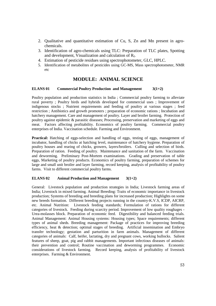- 2. Qualitative and quantitative estimation of Cu, S, Zn and Mn present in agrochemicals.
- 3. Identification of agro-chemicals using TLC: Preparation of TLC plates, Spotting and development, Visualization and calculation of  $R_f$ .
- 4. Estimation of pesticide residues using spectrophotometer, GLC, HPLC.
- 5. Identification of metabolites of pesticides using GC-MS, Mass spectrophotometer, NMR etc

#### **MODULE: ANIMAL SCIENCE**

#### **ELANS 01 Commercial Poultry Production and Management 3(1+2)**

Poultry population and production statistics in India ; Commercial poultry farming to alleviate rural poverty ; Poultry birds and hybrids developed for commercial uses ; Improvement of indigenous stocks ; Nutrient requirements and feeding of poultry at various stages ; feed restriction ; Antibiotics and growth promoters ; preparation of economic rations ; Incubation and hatchery management. Care and management of poultry. Layer and broiler farming. Protection of poultry against epidemic & parasitic diseases; Processing, preservation and marketing of eggs and meat. Factors affecting profitability. Economics of poultry farming. Commercial poultry enterprises of India. Vaccination schedule. Farming and Environment.

**Practical:** Hatching of eggs-selection and handling of eggs, testing of eggs, management of incubator, handling of chicks at hatching level, maintenance of hatchery hygiene. Preparation of poultry houses and rearing of chicks, growers, layers/broilers. Culling and selection of birds. Preparation of ration. Feeding of poultry. Maintenance and sanitation of the farm. Vaccination and deworming. Preliminary Post-Mortem examinations. Grading and preservation of table eggs, Marketing of poultry products. Economics of poultry farming, preparation of schemes for large and small unit broiler and layer farming, record keeping, analysis of profitability of poultry farms. Visit to different commercial poultry farms.

#### **ELANS 02 Animal Production and Management 3(1+2)**

General: Livestock population and production strategies in India; Livestock farming areas of India; Livestock in mixed farming. Animal Breeding: Traits of economic importance in livestock production; Systems of breeding and breeding plans for increased production; Highlights on some new breeds formation. Different breeding projects running in the country-K.V.S, ICDP, AICRP, etc. Animal Nutrition: Livestock feeding standards; Formulation of rations for different categories of livestock. Feeding during scarcity period. Improvement of low quality roughages - Urea-molasses block. Preparation of economic feed. Digestibility and balanced feeding trials. Animal Management: Animal Housing systems: Housing types; Space requirements; different types of animal sheds. Breeding management: Package of practices for improving breeding efficiency, heat & detection; optimal stages of breeding. Artificial insemination and Embryo transfer technology; gestation and parturition in farm animals. Management of different categories of animals: Calf, heifer, lactating, dry and pregnant cows, working bullocks. Salient features of sheep, goat, pig and rabbit managements. Important infectious diseases of animals: their prevention and control; Routine vaccination and deworming programmes. Economic considerations of livestock farming. Record keeping, analysis of profitability of livestock enterprises. Farming & Environment.